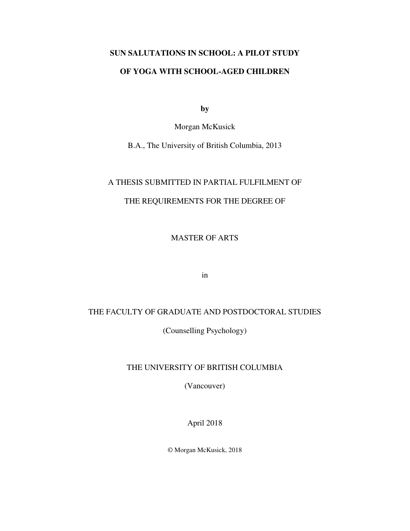# **SUN SALUTATIONS IN SCHOOL: A PILOT STUDY OF YOGA WITH SCHOOL-AGED CHILDREN**

**by**

Morgan McKusick

B.A., The University of British Columbia, 2013

# A THESIS SUBMITTED IN PARTIAL FULFILMENT OF

# THE REQUIREMENTS FOR THE DEGREE OF

MASTER OF ARTS

in

# THE FACULTY OF GRADUATE AND POSTDOCTORAL STUDIES

(Counselling Psychology)

# THE UNIVERSITY OF BRITISH COLUMBIA

(Vancouver)

April 2018

© Morgan McKusick, 2018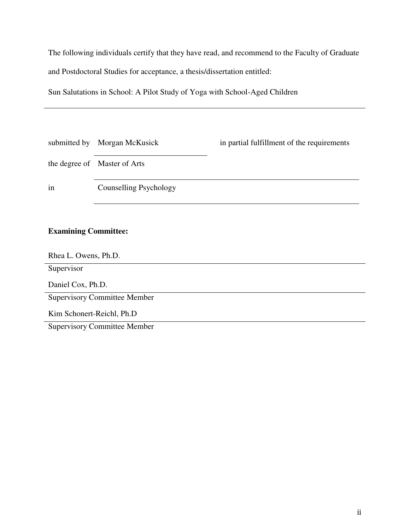The following individuals certify that they have read, and recommend to the Faculty of Graduate and Postdoctoral Studies for acceptance, a thesis/dissertation entitled:

Sun Salutations in School: A Pilot Study of Yoga with School-Aged Children

| submitted by                        | Morgan McKusick               | in partial fulfillment of the requirements |  |  |
|-------------------------------------|-------------------------------|--------------------------------------------|--|--|
|                                     | the degree of Master of Arts  |                                            |  |  |
| in                                  | <b>Counselling Psychology</b> |                                            |  |  |
|                                     |                               |                                            |  |  |
| <b>Examining Committee:</b>         |                               |                                            |  |  |
| Rhea L. Owens, Ph.D.                |                               |                                            |  |  |
| Supervisor                          |                               |                                            |  |  |
| Daniel Cox, Ph.D.                   |                               |                                            |  |  |
| <b>Supervisory Committee Member</b> |                               |                                            |  |  |
| Kim Schonert-Reichl, Ph.D           |                               |                                            |  |  |
| <b>Supervisory Committee Member</b> |                               |                                            |  |  |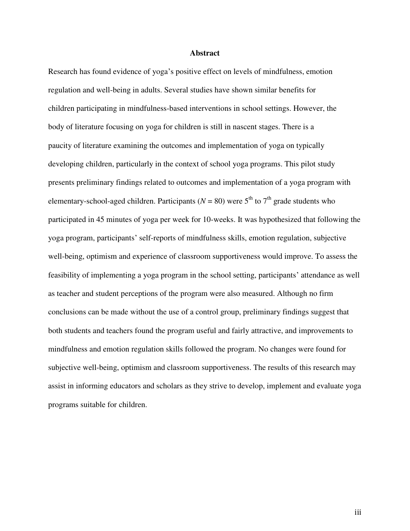#### **Abstract**

Research has found evidence of yoga's positive effect on levels of mindfulness, emotion regulation and well-being in adults. Several studies have shown similar benefits for children participating in mindfulness-based interventions in school settings. However, the body of literature focusing on yoga for children is still in nascent stages. There is a paucity of literature examining the outcomes and implementation of yoga on typically developing children, particularly in the context of school yoga programs. This pilot study presents preliminary findings related to outcomes and implementation of a yoga program with elementary-school-aged children. Participants ( $N = 80$ ) were 5<sup>th</sup> to 7<sup>th</sup> grade students who participated in 45 minutes of yoga per week for 10-weeks. It was hypothesized that following the yoga program, participants' self-reports of mindfulness skills, emotion regulation, subjective well-being, optimism and experience of classroom supportiveness would improve. To assess the feasibility of implementing a yoga program in the school setting, participants' attendance as well as teacher and student perceptions of the program were also measured. Although no firm conclusions can be made without the use of a control group, preliminary findings suggest that both students and teachers found the program useful and fairly attractive, and improvements to mindfulness and emotion regulation skills followed the program. No changes were found for subjective well-being, optimism and classroom supportiveness. The results of this research may assist in informing educators and scholars as they strive to develop, implement and evaluate yoga programs suitable for children.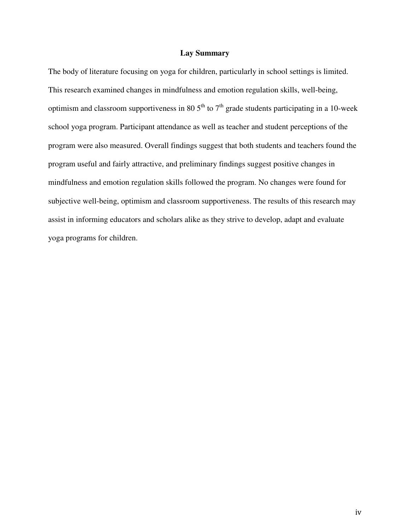### **Lay Summary**

The body of literature focusing on yoga for children, particularly in school settings is limited. This research examined changes in mindfulness and emotion regulation skills, well-being, optimism and classroom supportiveness in 80  $5<sup>th</sup>$  to  $7<sup>th</sup>$  grade students participating in a 10-week school yoga program. Participant attendance as well as teacher and student perceptions of the program were also measured. Overall findings suggest that both students and teachers found the program useful and fairly attractive, and preliminary findings suggest positive changes in mindfulness and emotion regulation skills followed the program. No changes were found for subjective well-being, optimism and classroom supportiveness. The results of this research may assist in informing educators and scholars alike as they strive to develop, adapt and evaluate yoga programs for children.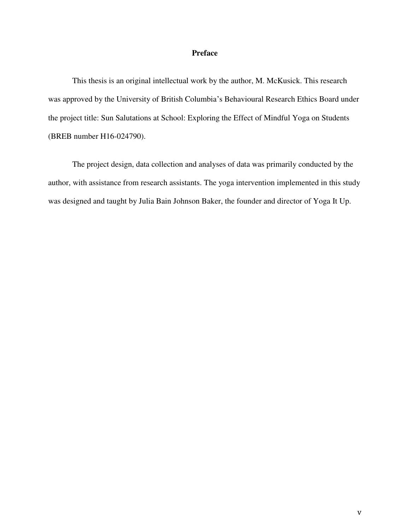## **Preface**

This thesis is an original intellectual work by the author, M. McKusick. This research was approved by the University of British Columbia's Behavioural Research Ethics Board under the project title: Sun Salutations at School: Exploring the Effect of Mindful Yoga on Students (BREB number H16-024790).

The project design, data collection and analyses of data was primarily conducted by the author, with assistance from research assistants. The yoga intervention implemented in this study was designed and taught by Julia Bain Johnson Baker, the founder and director of Yoga It Up.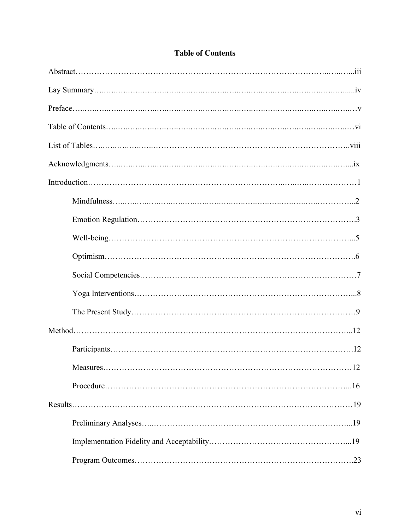|  | <b>Table of Contents</b> |
|--|--------------------------|
|--|--------------------------|

| .12 |
|-----|
|     |
|     |
|     |
|     |
|     |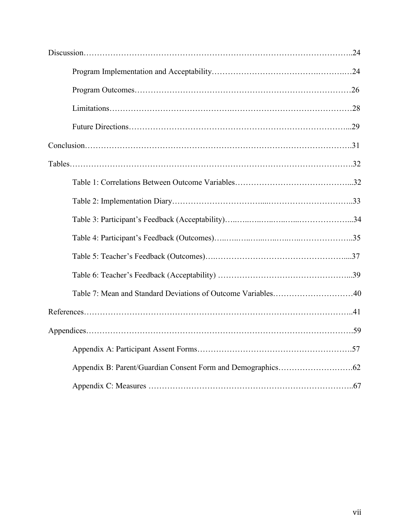| Table 7: Mean and Standard Deviations of Outcome Variables40 |
|--------------------------------------------------------------|
|                                                              |
|                                                              |
|                                                              |
|                                                              |
|                                                              |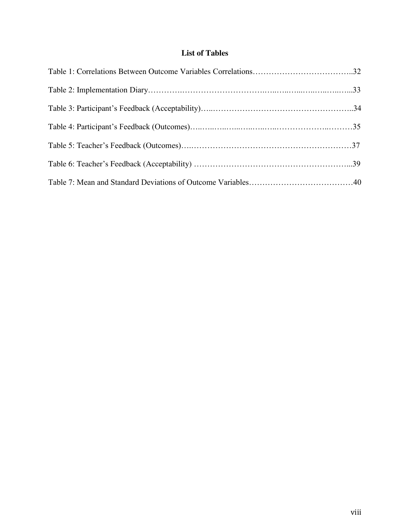# **List of Tables**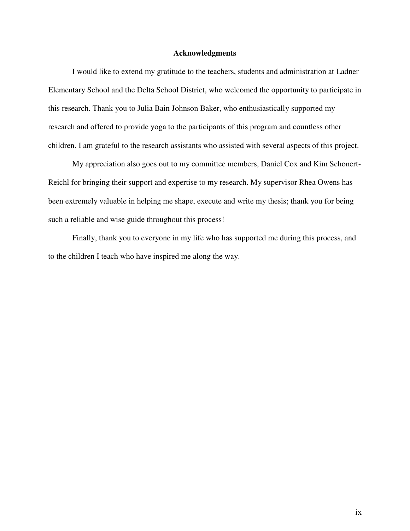#### **Acknowledgments**

I would like to extend my gratitude to the teachers, students and administration at Ladner Elementary School and the Delta School District, who welcomed the opportunity to participate in this research. Thank you to Julia Bain Johnson Baker, who enthusiastically supported my research and offered to provide yoga to the participants of this program and countless other children. I am grateful to the research assistants who assisted with several aspects of this project.

 My appreciation also goes out to my committee members, Daniel Cox and Kim Schonert-Reichl for bringing their support and expertise to my research. My supervisor Rhea Owens has been extremely valuable in helping me shape, execute and write my thesis; thank you for being such a reliable and wise guide throughout this process!

 Finally, thank you to everyone in my life who has supported me during this process, and to the children I teach who have inspired me along the way.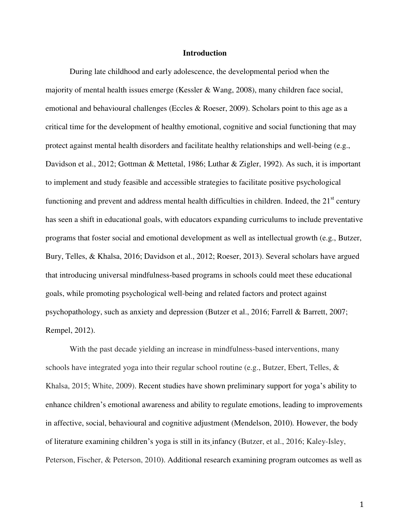#### **Introduction**

During late childhood and early adolescence, the developmental period when the majority of mental health issues emerge (Kessler & Wang, 2008), many children face social, emotional and behavioural challenges (Eccles  $\&$  Roeser, 2009). Scholars point to this age as a critical time for the development of healthy emotional, cognitive and social functioning that may protect against mental health disorders and facilitate healthy relationships and well-being (e.g., Davidson et al., 2012; Gottman & Mettetal, 1986; Luthar & Zigler, 1992). As such, it is important to implement and study feasible and accessible strategies to facilitate positive psychological functioning and prevent and address mental health difficulties in children. Indeed, the  $21<sup>st</sup>$  century has seen a shift in educational goals, with educators expanding curriculums to include preventative programs that foster social and emotional development as well as intellectual growth (e.g., Butzer, Bury, Telles, & Khalsa, 2016; Davidson et al., 2012; Roeser, 2013). Several scholars have argued that introducing universal mindfulness-based programs in schools could meet these educational goals, while promoting psychological well-being and related factors and protect against psychopathology, such as anxiety and depression (Butzer et al., 2016; Farrell & Barrett, 2007; Rempel, 2012).

With the past decade yielding an increase in mindfulness-based interventions, many schools have integrated yoga into their regular school routine (e.g., Butzer, Ebert, Telles, & Khalsa, 2015; White, 2009). Recent studies have shown preliminary support for yoga's ability to enhance children's emotional awareness and ability to regulate emotions, leading to improvements in affective, social, behavioural and cognitive adjustment (Mendelson, 2010)*.* However, the body of literature examining children's yoga is still in its infancy (Butzer, et al., 2016; Kaley-Isley, Peterson, Fischer, & Peterson, 2010). Additional research examining program outcomes as well as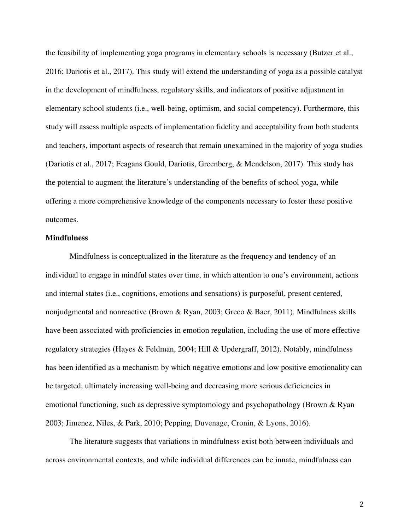the feasibility of implementing yoga programs in elementary schools is necessary (Butzer et al., 2016; Dariotis et al., 2017). This study will extend the understanding of yoga as a possible catalyst in the development of mindfulness, regulatory skills, and indicators of positive adjustment in elementary school students (i.e., well-being, optimism, and social competency). Furthermore, this study will assess multiple aspects of implementation fidelity and acceptability from both students and teachers, important aspects of research that remain unexamined in the majority of yoga studies (Dariotis et al., 2017; Feagans Gould, Dariotis, Greenberg, & Mendelson, 2017). This study has the potential to augment the literature's understanding of the benefits of school yoga, while offering a more comprehensive knowledge of the components necessary to foster these positive outcomes.

#### **Mindfulness**

Mindfulness is conceptualized in the literature as the frequency and tendency of an individual to engage in mindful states over time, in which attention to one's environment, actions and internal states (i.e., cognitions, emotions and sensations) is purposeful, present centered, nonjudgmental and nonreactive (Brown & Ryan, 2003; Greco & Baer, 2011). Mindfulness skills have been associated with proficiencies in emotion regulation, including the use of more effective regulatory strategies (Hayes & Feldman, 2004; Hill & Updergraff, 2012). Notably, mindfulness has been identified as a mechanism by which negative emotions and low positive emotionality can be targeted, ultimately increasing well-being and decreasing more serious deficiencies in emotional functioning, such as depressive symptomology and psychopathology (Brown & Ryan 2003; Jimenez, Niles, & Park, 2010; Pepping, Duvenage, Cronin, & Lyons, 2016).

The literature suggests that variations in mindfulness exist both between individuals and across environmental contexts, and while individual differences can be innate, mindfulness can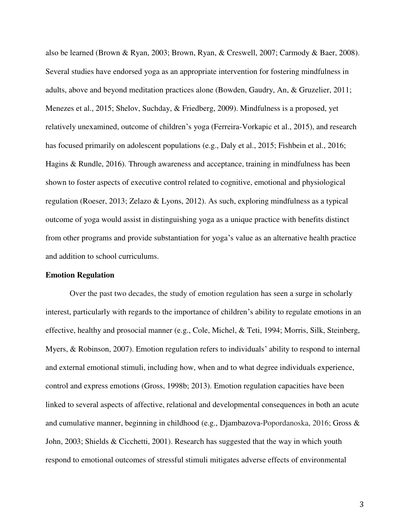also be learned (Brown & Ryan, 2003; Brown, Ryan, & Creswell, 2007; Carmody & Baer, 2008). Several studies have endorsed yoga as an appropriate intervention for fostering mindfulness in adults, above and beyond meditation practices alone (Bowden, Gaudry, An, & Gruzelier, 2011; Menezes et al., 2015; Shelov, Suchday, & Friedberg, 2009). Mindfulness is a proposed, yet relatively unexamined, outcome of children's yoga (Ferreira-Vorkapic et al., 2015), and research has focused primarily on adolescent populations (e.g., Daly et al., 2015; Fishbein et al., 2016; Hagins & Rundle, 2016). Through awareness and acceptance, training in mindfulness has been shown to foster aspects of executive control related to cognitive, emotional and physiological regulation (Roeser, 2013; Zelazo & Lyons, 2012). As such, exploring mindfulness as a typical outcome of yoga would assist in distinguishing yoga as a unique practice with benefits distinct from other programs and provide substantiation for yoga's value as an alternative health practice and addition to school curriculums.

### **Emotion Regulation**

Over the past two decades, the study of emotion regulation has seen a surge in scholarly interest, particularly with regards to the importance of children's ability to regulate emotions in an effective, healthy and prosocial manner (e.g., Cole, Michel, & Teti, 1994; Morris, Silk, Steinberg, Myers, & Robinson, 2007). Emotion regulation refers to individuals' ability to respond to internal and external emotional stimuli, including how, when and to what degree individuals experience, control and express emotions (Gross, 1998b; 2013). Emotion regulation capacities have been linked to several aspects of affective, relational and developmental consequences in both an acute and cumulative manner, beginning in childhood (e.g., Djambazova-Popordanoska, 2016; Gross & John, 2003; Shields & Cicchetti, 2001). Research has suggested that the way in which youth respond to emotional outcomes of stressful stimuli mitigates adverse effects of environmental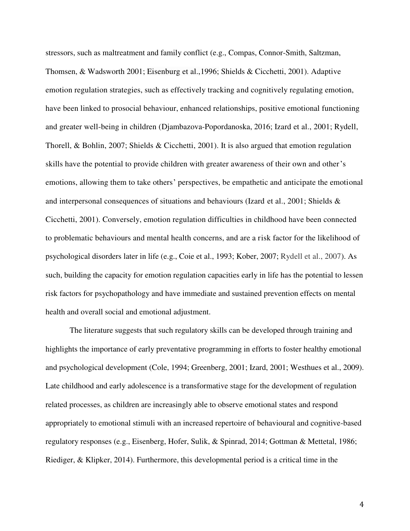stressors, such as maltreatment and family conflict (e.g., Compas, Connor-Smith, Saltzman, Thomsen, & Wadsworth 2001; Eisenburg et al.,1996; Shields & Cicchetti, 2001). Adaptive emotion regulation strategies, such as effectively tracking and cognitively regulating emotion, have been linked to prosocial behaviour, enhanced relationships, positive emotional functioning and greater well-being in children (Djambazova-Popordanoska, 2016; Izard et al., 2001; Rydell, Thorell, & Bohlin, 2007; Shields & Cicchetti, 2001). It is also argued that emotion regulation skills have the potential to provide children with greater awareness of their own and other's emotions, allowing them to take others' perspectives, be empathetic and anticipate the emotional and interpersonal consequences of situations and behaviours (Izard et al., 2001; Shields & Cicchetti, 2001). Conversely, emotion regulation difficulties in childhood have been connected to problematic behaviours and mental health concerns, and are a risk factor for the likelihood of psychological disorders later in life (e.g., Coie et al., 1993; Kober, 2007; Rydell et al., 2007). As such, building the capacity for emotion regulation capacities early in life has the potential to lessen risk factors for psychopathology and have immediate and sustained prevention effects on mental health and overall social and emotional adjustment.

The literature suggests that such regulatory skills can be developed through training and highlights the importance of early preventative programming in efforts to foster healthy emotional and psychological development (Cole, 1994; Greenberg, 2001; Izard, 2001; Westhues et al., 2009). Late childhood and early adolescence is a transformative stage for the development of regulation related processes, as children are increasingly able to observe emotional states and respond appropriately to emotional stimuli with an increased repertoire of behavioural and cognitive-based regulatory responses (e.g., Eisenberg, Hofer, Sulik, & Spinrad, 2014; Gottman & Mettetal, 1986; Riediger, & Klipker, 2014). Furthermore, this developmental period is a critical time in the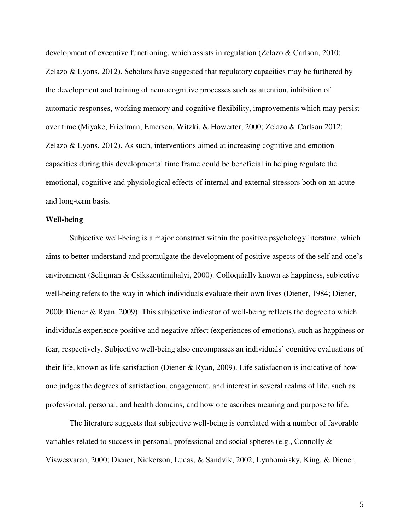development of executive functioning, which assists in regulation (Zelazo & Carlson, 2010; Zelazo & Lyons, 2012). Scholars have suggested that regulatory capacities may be furthered by the development and training of neurocognitive processes such as attention, inhibition of automatic responses, working memory and cognitive flexibility, improvements which may persist over time (Miyake, Friedman, Emerson, Witzki, & Howerter, 2000; Zelazo & Carlson 2012; Zelazo & Lyons, 2012). As such, interventions aimed at increasing cognitive and emotion capacities during this developmental time frame could be beneficial in helping regulate the emotional, cognitive and physiological effects of internal and external stressors both on an acute and long-term basis.

#### **Well-being**

Subjective well-being is a major construct within the positive psychology literature, which aims to better understand and promulgate the development of positive aspects of the self and one's environment (Seligman & Csikszentimihalyi, 2000). Colloquially known as happiness, subjective well-being refers to the way in which individuals evaluate their own lives (Diener, 1984; Diener, 2000; Diener & Ryan, 2009). This subjective indicator of well-being reflects the degree to which individuals experience positive and negative affect (experiences of emotions), such as happiness or fear, respectively. Subjective well-being also encompasses an individuals' cognitive evaluations of their life, known as life satisfaction (Diener & Ryan, 2009). Life satisfaction is indicative of how one judges the degrees of satisfaction, engagement, and interest in several realms of life, such as professional, personal, and health domains, and how one ascribes meaning and purpose to life.

The literature suggests that subjective well-being is correlated with a number of favorable variables related to success in personal, professional and social spheres (e.g., Connolly & Viswesvaran, 2000; Diener, Nickerson, Lucas, & Sandvik, 2002; Lyubomirsky, King, & Diener,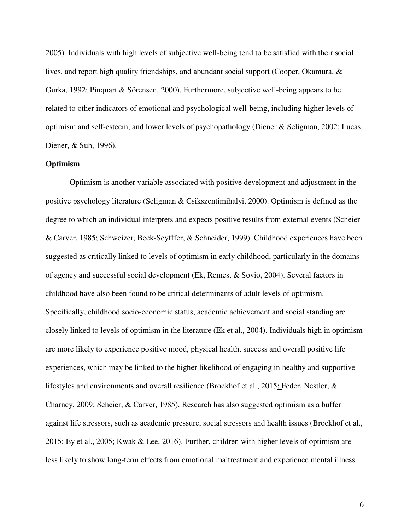2005). Individuals with high levels of subjective well-being tend to be satisfied with their social lives, and report high quality friendships, and abundant social support (Cooper, Okamura, & Gurka, 1992; Pinquart & Sörensen, 2000). Furthermore, subjective well-being appears to be related to other indicators of emotional and psychological well-being, including higher levels of optimism and self-esteem, and lower levels of psychopathology (Diener & Seligman, 2002; Lucas, Diener, & Suh, 1996).

### **Optimism**

Optimism is another variable associated with positive development and adjustment in the positive psychology literature (Seligman & Csikszentimihalyi, 2000). Optimism is defined as the degree to which an individual interprets and expects positive results from external events (Scheier & Carver, 1985; Schweizer, Beck-Seyfffer, & Schneider, 1999). Childhood experiences have been suggested as critically linked to levels of optimism in early childhood, particularly in the domains of agency and successful social development (Ek, Remes, & Sovio, 2004). Several factors in childhood have also been found to be critical determinants of adult levels of optimism. Specifically, childhood socio-economic status, academic achievement and social standing are closely linked to levels of optimism in the literature (Ek et al., 2004). Individuals high in optimism are more likely to experience positive mood, physical health, success and overall positive life experiences, which may be linked to the higher likelihood of engaging in healthy and supportive lifestyles and environments and overall resilience (Broekhof et al., 2015; Feder, Nestler, & Charney, 2009; Scheier, & Carver, 1985). Research has also suggested optimism as a buffer against life stressors, such as academic pressure, social stressors and health issues (Broekhof et al., 2015; Ey et al., 2005; Kwak & Lee, 2016). Further, children with higher levels of optimism are less likely to show long-term effects from emotional maltreatment and experience mental illness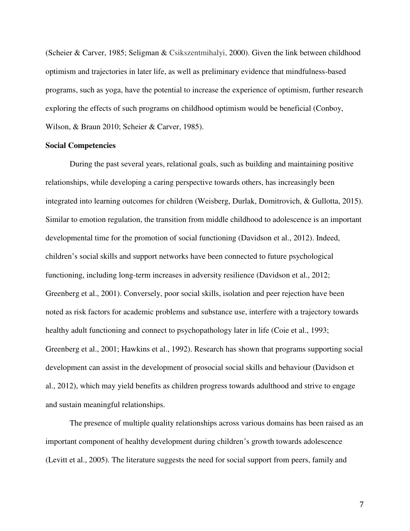(Scheier & Carver, 1985; Seligman & Csikszentmihalyi, 2000). Given the link between childhood optimism and trajectories in later life, as well as preliminary evidence that mindfulness-based programs, such as yoga, have the potential to increase the experience of optimism, further research exploring the effects of such programs on childhood optimism would be beneficial (Conboy, Wilson, & Braun 2010; Scheier & Carver, 1985).

#### **Social Competencies**

During the past several years, relational goals, such as building and maintaining positive relationships, while developing a caring perspective towards others, has increasingly been integrated into learning outcomes for children (Weisberg, Durlak, Domitrovich, & Gullotta, 2015). Similar to emotion regulation, the transition from middle childhood to adolescence is an important developmental time for the promotion of social functioning (Davidson et al., 2012). Indeed, children's social skills and support networks have been connected to future psychological functioning, including long-term increases in adversity resilience (Davidson et al., 2012; Greenberg et al., 2001). Conversely, poor social skills, isolation and peer rejection have been noted as risk factors for academic problems and substance use, interfere with a trajectory towards healthy adult functioning and connect to psychopathology later in life (Coie et al., 1993; Greenberg et al., 2001; Hawkins et al., 1992). Research has shown that programs supporting social development can assist in the development of prosocial social skills and behaviour (Davidson et al., 2012), which may yield benefits as children progress towards adulthood and strive to engage and sustain meaningful relationships.

 The presence of multiple quality relationships across various domains has been raised as an important component of healthy development during children's growth towards adolescence (Levitt et al., 2005). The literature suggests the need for social support from peers, family and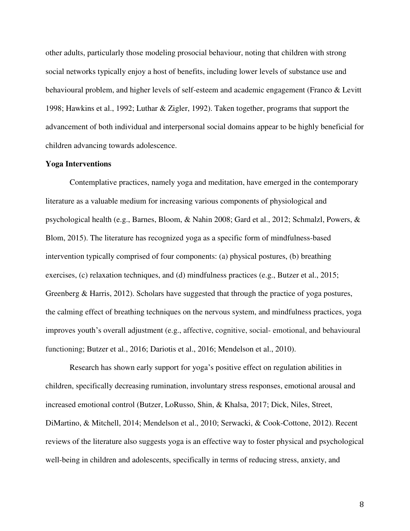other adults, particularly those modeling prosocial behaviour, noting that children with strong social networks typically enjoy a host of benefits, including lower levels of substance use and behavioural problem, and higher levels of self-esteem and academic engagement (Franco & Levitt 1998; Hawkins et al., 1992; Luthar & Zigler, 1992). Taken together, programs that support the advancement of both individual and interpersonal social domains appear to be highly beneficial for children advancing towards adolescence.

#### **Yoga Interventions**

Contemplative practices, namely yoga and meditation, have emerged in the contemporary literature as a valuable medium for increasing various components of physiological and psychological health (e.g., Barnes, Bloom, & Nahin 2008; Gard et al., 2012; Schmalzl, Powers, & Blom, 2015). The literature has recognized yoga as a specific form of mindfulness-based intervention typically comprised of four components: (a) physical postures, (b) breathing exercises, (c) relaxation techniques, and (d) mindfulness practices (e.g., Butzer et al., 2015; Greenberg & Harris, 2012). Scholars have suggested that through the practice of yoga postures, the calming effect of breathing techniques on the nervous system, and mindfulness practices, yoga improves youth's overall adjustment (e.g., affective, cognitive, social- emotional, and behavioural functioning; Butzer et al., 2016; Dariotis et al., 2016; Mendelson et al., 2010).

Research has shown early support for yoga's positive effect on regulation abilities in children, specifically decreasing rumination, involuntary stress responses, emotional arousal and increased emotional control (Butzer, LoRusso, Shin, & Khalsa, 2017; Dick, Niles, Street, DiMartino, & Mitchell, 2014; Mendelson et al., 2010; Serwacki, & Cook-Cottone, 2012). Recent reviews of the literature also suggests yoga is an effective way to foster physical and psychological well-being in children and adolescents, specifically in terms of reducing stress, anxiety, and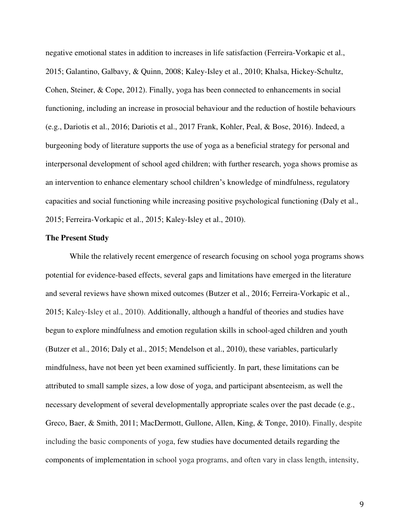negative emotional states in addition to increases in life satisfaction (Ferreira-Vorkapic et al., 2015; Galantino, Galbavy, & Quinn, 2008; Kaley-Isley et al., 2010; Khalsa, Hickey-Schultz, Cohen, Steiner, & Cope, 2012). Finally, yoga has been connected to enhancements in social functioning, including an increase in prosocial behaviour and the reduction of hostile behaviours (e.g., Dariotis et al., 2016; Dariotis et al., 2017 Frank, Kohler, Peal, & Bose, 2016). Indeed, a burgeoning body of literature supports the use of yoga as a beneficial strategy for personal and interpersonal development of school aged children; with further research, yoga shows promise as an intervention to enhance elementary school children's knowledge of mindfulness, regulatory capacities and social functioning while increasing positive psychological functioning (Daly et al., 2015; Ferreira-Vorkapic et al., 2015; Kaley-Isley et al., 2010).

#### **The Present Study**

While the relatively recent emergence of research focusing on school yoga programs shows potential for evidence-based effects, several gaps and limitations have emerged in the literature and several reviews have shown mixed outcomes (Butzer et al., 2016; Ferreira-Vorkapic et al., 2015; Kaley-Isley et al., 2010). Additionally, although a handful of theories and studies have begun to explore mindfulness and emotion regulation skills in school-aged children and youth (Butzer et al., 2016; Daly et al., 2015; Mendelson et al., 2010), these variables, particularly mindfulness, have not been yet been examined sufficiently. In part, these limitations can be attributed to small sample sizes, a low dose of yoga, and participant absenteeism, as well the necessary development of several developmentally appropriate scales over the past decade (e.g., Greco, Baer, & Smith, 2011; MacDermott, Gullone, Allen, King, & Tonge, 2010). Finally, despite including the basic components of yoga, few studies have documented details regarding the components of implementation in school yoga programs, and often vary in class length, intensity,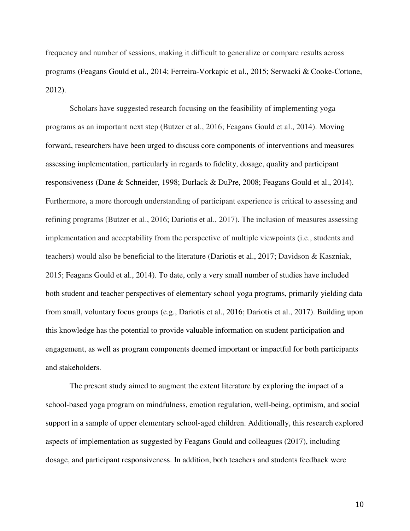frequency and number of sessions, making it difficult to generalize or compare results across programs (Feagans Gould et al., 2014; Ferreira-Vorkapic et al., 2015; Serwacki & Cooke-Cottone, 2012).

Scholars have suggested research focusing on the feasibility of implementing yoga programs as an important next step (Butzer et al., 2016; Feagans Gould et al., 2014). Moving forward, researchers have been urged to discuss core components of interventions and measures assessing implementation, particularly in regards to fidelity, dosage, quality and participant responsiveness (Dane & Schneider, 1998; Durlack & DuPre, 2008; Feagans Gould et al., 2014). Furthermore, a more thorough understanding of participant experience is critical to assessing and refining programs (Butzer et al., 2016; Dariotis et al., 2017). The inclusion of measures assessing implementation and acceptability from the perspective of multiple viewpoints (i.e., students and teachers) would also be beneficial to the literature (Dariotis et al., 2017; Davidson & Kaszniak, 2015; Feagans Gould et al., 2014). To date, only a very small number of studies have included both student and teacher perspectives of elementary school yoga programs, primarily yielding data from small, voluntary focus groups (e.g., Dariotis et al., 2016; Dariotis et al., 2017). Building upon this knowledge has the potential to provide valuable information on student participation and engagement, as well as program components deemed important or impactful for both participants and stakeholders.

The present study aimed to augment the extent literature by exploring the impact of a school-based yoga program on mindfulness, emotion regulation, well-being, optimism, and social support in a sample of upper elementary school-aged children. Additionally, this research explored aspects of implementation as suggested by Feagans Gould and colleagues (2017), including dosage, and participant responsiveness. In addition, both teachers and students feedback were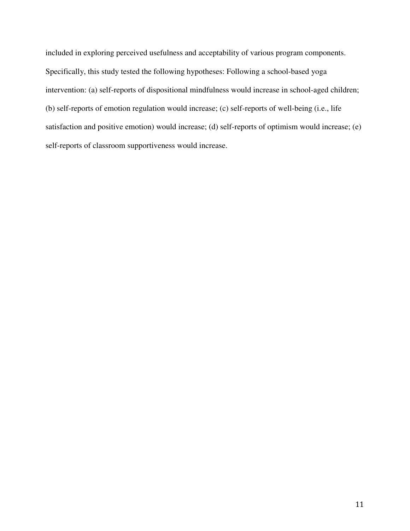included in exploring perceived usefulness and acceptability of various program components. Specifically, this study tested the following hypotheses: Following a school-based yoga intervention: (a) self-reports of dispositional mindfulness would increase in school-aged children; (b) self-reports of emotion regulation would increase; (c) self-reports of well-being (i.e., life satisfaction and positive emotion) would increase; (d) self-reports of optimism would increase; (e) self-reports of classroom supportiveness would increase.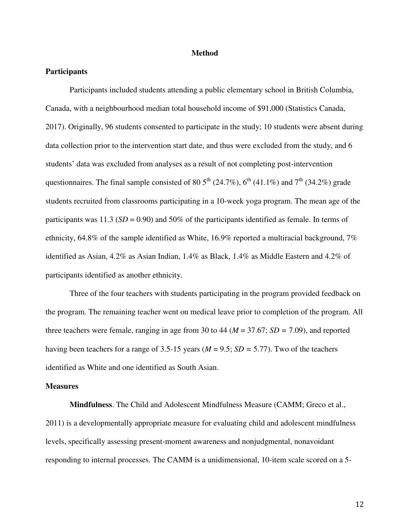#### **Method**

#### **Participants**

Participants included students attending a public elementary school in British Columbia, Canada, with a neighbourhood median total household income of \$91,000 (Statistics Canada, 2017). Originally, 96 students consented to participate in the study; 10 students were absent during data collection prior to the intervention start date, and thus were excluded from the study, and 6 students' data was excluded from analyses as a result of not completing post-intervention questionnaires. The final sample consisted of 80  $5^{th}$  (24.7%),  $6^{th}$  (41.1%) and  $7^{th}$  (34.2%) grade students recruited from classrooms participating in a 10-week yoga program. The mean age of the participants was 11.3 ( $SD = 0.90$ ) and 50% of the participants identified as female. In terms of ethnicity, 64.8% of the sample identified as White, 16.9% reported a multiracial background, 7% identified as Asian, 4.2% as Asian Indian, 1.4% as Black, 1.4% as Middle Eastern and 4.2% of participants identified as another ethnicity.

Three of the four teachers with students participating in the program provided feedback on the program. The remaining teacher went on medical leave prior to completion of the program. All three teachers were female, ranging in age from 30 to 44 ( $M = 37.67$ ;  $SD = 7.09$ ), and reported having been teachers for a range of 3.5-15 years ( $M = 9.5$ ;  $SD = 5.77$ ). Two of the teachers identified as White and one identified as South Asian.

#### **Measures**

**Mindfulness**. The Child and Adolescent Mindfulness Measure (CAMM; Greco et al., 2011) is a developmentally appropriate measure for evaluating child and adolescent mindfulness levels, specifically assessing present-moment awareness and nonjudgmental, nonavoidant responding to internal processes. The CAMM is a unidimensional, 10-item scale scored on a 5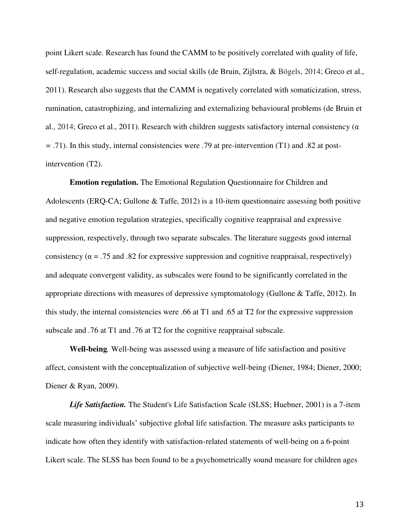point Likert scale. Research has found the CAMM to be positively correlated with quality of life, self-regulation, academic success and social skills (de Bruin, Zijlstra, & Bögels, 2014; Greco et al., 2011). Research also suggests that the CAMM is negatively correlated with somaticization, stress, rumination, catastrophizing, and internalizing and externalizing behavioural problems (de Bruin et al., 2014; Greco et al., 2011). Research with children suggests satisfactory internal consistency ( $\alpha$ ) *=* .71). In this study, internal consistencies were .79 at pre-intervention (T1) and .82 at postintervention (T2).

**Emotion regulation.** The Emotional Regulation Questionnaire for Children and Adolescents (ERQ-CA; Gullone & Taffe, 2012) is a 10-item questionnaire assessing both positive and negative emotion regulation strategies, specifically cognitive reappraisal and expressive suppression, respectively, through two separate subscales. The literature suggests good internal consistency ( $\alpha$  = .75 and .82 for expressive suppression and cognitive reappraisal, respectively) and adequate convergent validity, as subscales were found to be significantly correlated in the appropriate directions with measures of depressive symptomatology (Gullone & Taffe, 2012). In this study, the internal consistencies were .66 at T1 and .65 at T2 for the expressive suppression subscale and *.*76 at T1 and .76 at T2 for the cognitive reappraisal subscale.

**Well-being***.* Well-being was assessed using a measure of life satisfaction and positive affect, consistent with the conceptualization of subjective well-being (Diener, 1984; Diener, 2000; Diener & Ryan, 2009).

*Life Satisfaction.* The Student's Life Satisfaction Scale (SLSS; Huebner, 2001) is a 7-item scale measuring individuals' subjective global life satisfaction. The measure asks participants to indicate how often they identify with satisfaction-related statements of well-being on a 6-point Likert scale. The SLSS has been found to be a psychometrically sound measure for children ages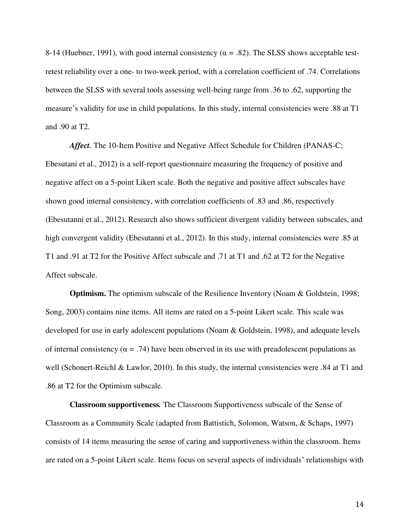8-14 (Huebner, 1991), with good internal consistency (α *=* .82). The SLSS shows acceptable testretest reliability over a one- to two-week period, with a correlation coefficient of .74. Correlations between the SLSS with several tools assessing well-being range from .36 to .62, supporting the measure's validity for use in child populations. In this study, internal consistencies were .88 at T1 and .90 at T2.

*Affect.* The 10-Item Positive and Negative Affect Schedule for Children (PANAS-C; Ebesutani et al., 2012) is a self-report questionnaire measuring the frequency of positive and negative affect on a 5-point Likert scale. Both the negative and positive affect subscales have shown good internal consistency, with correlation coefficients of .83 and .86, respectively (Ebesutanni et al., 2012). Research also shows sufficient divergent validity between subscales, and high convergent validity (Ebesutanni et al., 2012). In this study, internal consistencies were .85 at T1 and .91 at T2 for the Positive Affect subscale and .71 at T1 and .62 at T2 for the Negative Affect subscale.

**Optimism.** The optimism subscale of the Resilience Inventory (Noam & Goldstein, 1998; Song, 2003) contains nine items. All items are rated on a 5-point Likert scale. This scale was developed for use in early adolescent populations (Noam & Goldstein, 1998), and adequate levels of internal consistency ( $\alpha$  = .74) have been observed in its use with preadolescent populations as well (Schonert-Reichl & Lawlor, 2010). In this study, the internal consistencies were *.*84 at T1 and .86 at T2 for the Optimism subscale.

**Classroom supportiveness***.* The Classroom Supportiveness subscale of the Sense of Classroom as a Community Scale (adapted from Battistich, Solomon, Watson, & Schaps, 1997) consists of 14 items measuring the sense of caring and supportiveness within the classroom. Items are rated on a 5-point Likert scale. Items focus on several aspects of individuals' relationships with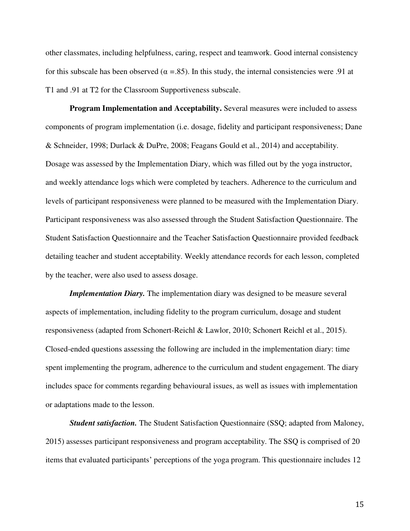other classmates, including helpfulness, caring, respect and teamwork. Good internal consistency for this subscale has been observed ( $\alpha = 0.85$ ). In this study, the internal consistencies were 0.91 at T1 and .91 at T2 for the Classroom Supportiveness subscale.

**Program Implementation and Acceptability.** Several measures were included to assess components of program implementation (i.e. dosage, fidelity and participant responsiveness; Dane & Schneider, 1998; Durlack & DuPre, 2008; Feagans Gould et al., 2014) and acceptability. Dosage was assessed by the Implementation Diary, which was filled out by the yoga instructor, and weekly attendance logs which were completed by teachers. Adherence to the curriculum and levels of participant responsiveness were planned to be measured with the Implementation Diary. Participant responsiveness was also assessed through the Student Satisfaction Questionnaire. The Student Satisfaction Questionnaire and the Teacher Satisfaction Questionnaire provided feedback detailing teacher and student acceptability. Weekly attendance records for each lesson, completed by the teacher, were also used to assess dosage.

*Implementation Diary.* The implementation diary was designed to be measure several aspects of implementation, including fidelity to the program curriculum, dosage and student responsiveness (adapted from Schonert-Reichl & Lawlor, 2010; Schonert Reichl et al., 2015). Closed-ended questions assessing the following are included in the implementation diary: time spent implementing the program, adherence to the curriculum and student engagement. The diary includes space for comments regarding behavioural issues, as well as issues with implementation or adaptations made to the lesson.

*Student satisfaction.* The Student Satisfaction Questionnaire (SSQ; adapted from Maloney, 2015) assesses participant responsiveness and program acceptability. The SSQ is comprised of 20 items that evaluated participants' perceptions of the yoga program. This questionnaire includes 12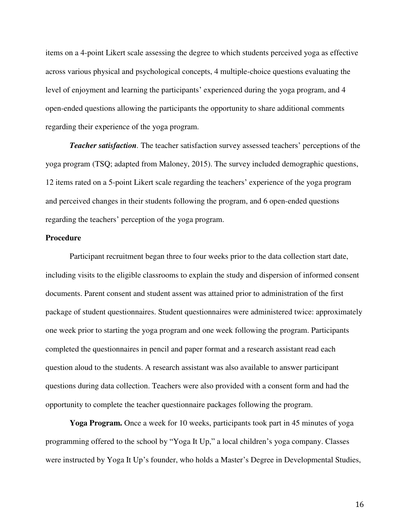items on a 4-point Likert scale assessing the degree to which students perceived yoga as effective across various physical and psychological concepts, 4 multiple-choice questions evaluating the level of enjoyment and learning the participants' experienced during the yoga program, and 4 open-ended questions allowing the participants the opportunity to share additional comments regarding their experience of the yoga program.

*Teacher satisfaction.* The teacher satisfaction survey assessed teachers' perceptions of the yoga program (TSQ; adapted from Maloney, 2015). The survey included demographic questions, 12 items rated on a 5-point Likert scale regarding the teachers' experience of the yoga program and perceived changes in their students following the program, and 6 open-ended questions regarding the teachers' perception of the yoga program.

#### **Procedure**

Participant recruitment began three to four weeks prior to the data collection start date, including visits to the eligible classrooms to explain the study and dispersion of informed consent documents. Parent consent and student assent was attained prior to administration of the first package of student questionnaires. Student questionnaires were administered twice: approximately one week prior to starting the yoga program and one week following the program. Participants completed the questionnaires in pencil and paper format and a research assistant read each question aloud to the students. A research assistant was also available to answer participant questions during data collection. Teachers were also provided with a consent form and had the opportunity to complete the teacher questionnaire packages following the program.

**Yoga Program.** Once a week for 10 weeks, participants took part in 45 minutes of yoga programming offered to the school by "Yoga It Up," a local children's yoga company. Classes were instructed by Yoga It Up's founder, who holds a Master's Degree in Developmental Studies,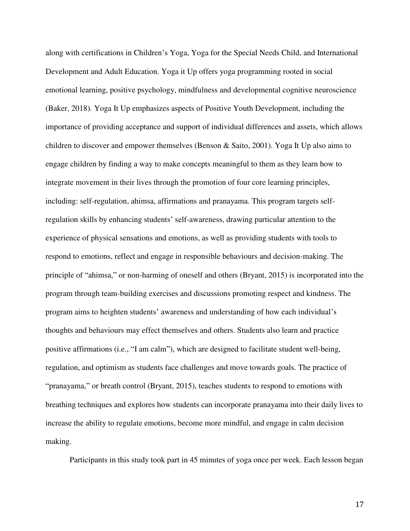along with certifications in Children's Yoga, Yoga for the Special Needs Child, and International Development and Adult Education. Yoga it Up offers yoga programming rooted in social emotional learning, positive psychology, mindfulness and developmental cognitive neuroscience (Baker, 2018)*.* Yoga It Up emphasizes aspects of Positive Youth Development, including the importance of providing acceptance and support of individual differences and assets, which allows children to discover and empower themselves (Benson & Saito, 2001). Yoga It Up also aims to engage children by finding a way to make concepts meaningful to them as they learn how to integrate movement in their lives through the promotion of four core learning principles, including: self-regulation, ahimsa, affirmations and pranayama. This program targets selfregulation skills by enhancing students' self-awareness, drawing particular attention to the experience of physical sensations and emotions, as well as providing students with tools to respond to emotions, reflect and engage in responsible behaviours and decision-making. The principle of "ahimsa," or non-harming of oneself and others (Bryant, 2015) is incorporated into the program through team-building exercises and discussions promoting respect and kindness. The program aims to heighten students' awareness and understanding of how each individual's thoughts and behaviours may effect themselves and others. Students also learn and practice positive affirmations (i.e., "I am calm"), which are designed to facilitate student well-being, regulation, and optimism as students face challenges and move towards goals. The practice of "pranayama," or breath control (Bryant, 2015), teaches students to respond to emotions with breathing techniques and explores how students can incorporate pranayama into their daily lives to increase the ability to regulate emotions, become more mindful, and engage in calm decision making.

Participants in this study took part in 45 minutes of yoga once per week. Each lesson began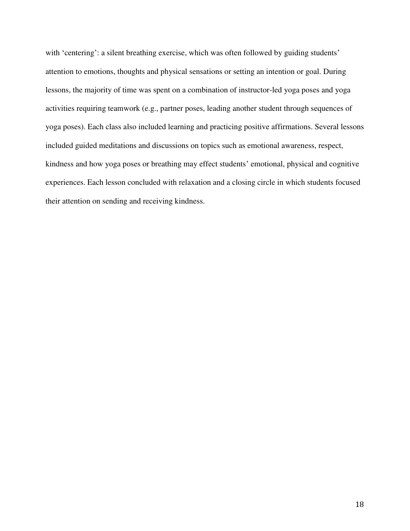with 'centering': a silent breathing exercise, which was often followed by guiding students' attention to emotions, thoughts and physical sensations or setting an intention or goal. During lessons, the majority of time was spent on a combination of instructor-led yoga poses and yoga activities requiring teamwork (e.g., partner poses, leading another student through sequences of yoga poses). Each class also included learning and practicing positive affirmations. Several lessons included guided meditations and discussions on topics such as emotional awareness, respect, kindness and how yoga poses or breathing may effect students' emotional, physical and cognitive experiences. Each lesson concluded with relaxation and a closing circle in which students focused their attention on sending and receiving kindness.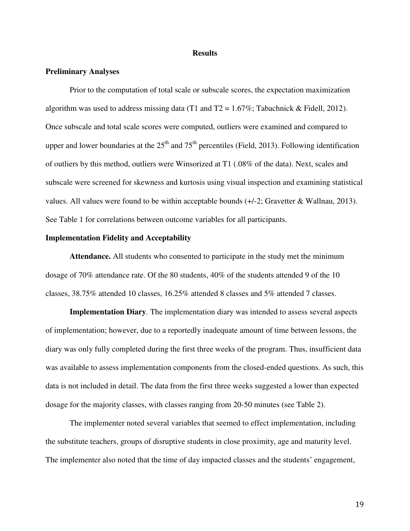#### **Results**

#### **Preliminary Analyses**

Prior to the computation of total scale or subscale scores, the expectation maximization algorithm was used to address missing data (T1 and T2 =  $1.67\%$ ; Tabachnick & Fidell, 2012). Once subscale and total scale scores were computed, outliers were examined and compared to upper and lower boundaries at the  $25<sup>th</sup>$  and  $75<sup>th</sup>$  percentiles (Field, 2013). Following identification of outliers by this method, outliers were Winsorized at T1 (.08% of the data). Next, scales and subscale were screened for skewness and kurtosis using visual inspection and examining statistical values. All values were found to be within acceptable bounds (+/-2; Gravetter & Wallnau, 2013). See Table 1 for correlations between outcome variables for all participants.

#### **Implementation Fidelity and Acceptability**

 **Attendance.** All students who consented to participate in the study met the minimum dosage of 70% attendance rate. Of the 80 students, 40% of the students attended 9 of the 10 classes, 38.75% attended 10 classes, 16.25% attended 8 classes and 5% attended 7 classes.

**Implementation Diary**. The implementation diary was intended to assess several aspects of implementation; however, due to a reportedly inadequate amount of time between lessons, the diary was only fully completed during the first three weeks of the program. Thus, insufficient data was available to assess implementation components from the closed-ended questions. As such, this data is not included in detail. The data from the first three weeks suggested a lower than expected dosage for the majority classes, with classes ranging from 20-50 minutes (see Table 2).

The implementer noted several variables that seemed to effect implementation, including the substitute teachers, groups of disruptive students in close proximity, age and maturity level. The implementer also noted that the time of day impacted classes and the students' engagement,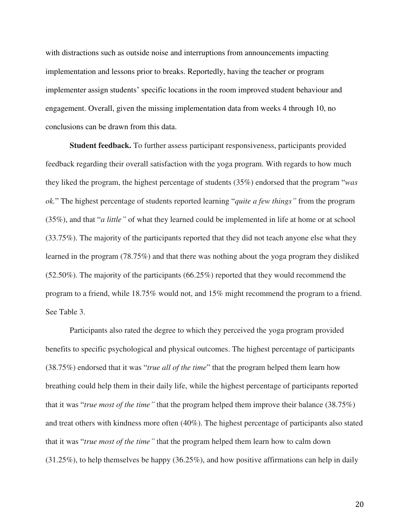with distractions such as outside noise and interruptions from announcements impacting implementation and lessons prior to breaks. Reportedly, having the teacher or program implementer assign students' specific locations in the room improved student behaviour and engagement. Overall, given the missing implementation data from weeks 4 through 10, no conclusions can be drawn from this data.

**Student feedback.** To further assess participant responsiveness, participants provided feedback regarding their overall satisfaction with the yoga program. With regards to how much they liked the program, the highest percentage of students (35%) endorsed that the program "*was ok.*" The highest percentage of students reported learning "*quite a few things"* from the program (35%), and that "*a little"* of what they learned could be implemented in life at home or at school (33.75%). The majority of the participants reported that they did not teach anyone else what they learned in the program (78.75%) and that there was nothing about the yoga program they disliked (52.50%). The majority of the participants (66.25%) reported that they would recommend the program to a friend, while 18.75% would not, and 15% might recommend the program to a friend. See Table 3.

Participants also rated the degree to which they perceived the yoga program provided benefits to specific psychological and physical outcomes. The highest percentage of participants (38.75%) endorsed that it was "*true all of the time*" that the program helped them learn how breathing could help them in their daily life, while the highest percentage of participants reported that it was "*true most of the time"* that the program helped them improve their balance (38.75%) and treat others with kindness more often (40%). The highest percentage of participants also stated that it was "*true most of the time"* that the program helped them learn how to calm down (31.25%), to help themselves be happy (36.25%), and how positive affirmations can help in daily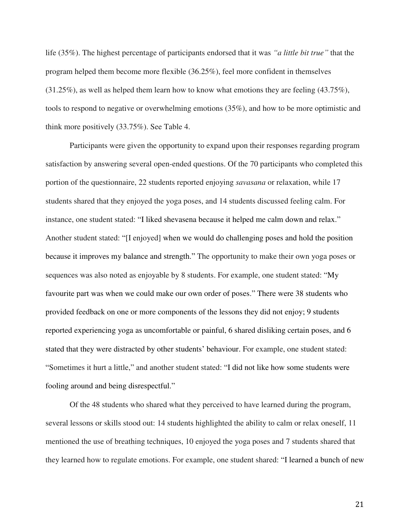life (35%). The highest percentage of participants endorsed that it was *"a little bit true"* that the program helped them become more flexible (36.25%), feel more confident in themselves (31.25%), as well as helped them learn how to know what emotions they are feeling (43.75%), tools to respond to negative or overwhelming emotions (35%), and how to be more optimistic and think more positively (33.75%). See Table 4.

Participants were given the opportunity to expand upon their responses regarding program satisfaction by answering several open-ended questions. Of the 70 participants who completed this portion of the questionnaire, 22 students reported enjoying *savasana* or relaxation, while 17 students shared that they enjoyed the yoga poses, and 14 students discussed feeling calm. For instance, one student stated: "I liked shevasena because it helped me calm down and relax." Another student stated: "[I enjoyed] when we would do challenging poses and hold the position because it improves my balance and strength." The opportunity to make their own yoga poses or sequences was also noted as enjoyable by 8 students. For example, one student stated: "My favourite part was when we could make our own order of poses." There were 38 students who provided feedback on one or more components of the lessons they did not enjoy; 9 students reported experiencing yoga as uncomfortable or painful, 6 shared disliking certain poses, and 6 stated that they were distracted by other students' behaviour. For example, one student stated: "Sometimes it hurt a little," and another student stated: "I did not like how some students were fooling around and being disrespectful."

Of the 48 students who shared what they perceived to have learned during the program, several lessons or skills stood out: 14 students highlighted the ability to calm or relax oneself, 11 mentioned the use of breathing techniques, 10 enjoyed the yoga poses and 7 students shared that they learned how to regulate emotions. For example, one student shared: "I learned a bunch of new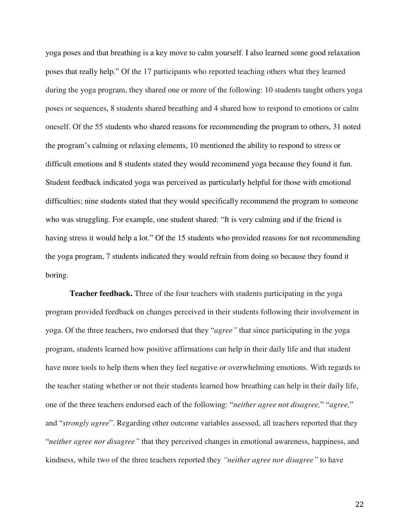yoga poses and that breathing is a key move to calm yourself. I also learned some good relaxation poses that really help." Of the 17 participants who reported teaching others what they learned during the yoga program, they shared one or more of the following: 10 students taught others yoga poses or sequences, 8 students shared breathing and 4 shared how to respond to emotions or calm oneself. Of the 55 students who shared reasons for recommending the program to others, 31 noted the program's calming or relaxing elements, 10 mentioned the ability to respond to stress or difficult emotions and 8 students stated they would recommend yoga because they found it fun. Student feedback indicated yoga was perceived as particularly helpful for those with emotional difficulties; nine students stated that they would specifically recommend the program to someone who was struggling. For example, one student shared: "It is very calming and if the friend is having stress it would help a lot." Of the 15 students who provided reasons for not recommending the yoga program, 7 students indicated they would refrain from doing so because they found it boring.

**Teacher feedback.** Three of the four teachers with students participating in the yoga program provided feedback on changes perceived in their students following their involvement in yoga. Of the three teachers, two endorsed that they "*agree"* that since participating in the yoga program, students learned how positive affirmations can help in their daily life and that student have more tools to help them when they feel negative or overwhelming emotions. With regards to the teacher stating whether or not their students learned how breathing can help in their daily life, one of the three teachers endorsed each of the following: "*neither agree not disagree,*" "*agree,*" and "*strongly agree*". Regarding other outcome variables assessed, all teachers reported that they "*neither agree nor disagree"* that they perceived changes in emotional awareness, happiness, and kindness, while two of the three teachers reported they *"neither agree nor disagree"* to have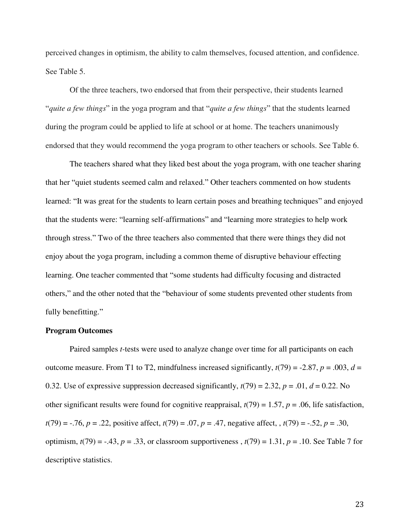perceived changes in optimism, the ability to calm themselves, focused attention, and confidence. See Table 5.

Of the three teachers, two endorsed that from their perspective, their students learned "*quite a few things*" in the yoga program and that "*quite a few things*" that the students learned during the program could be applied to life at school or at home. The teachers unanimously endorsed that they would recommend the yoga program to other teachers or schools. See Table 6.

The teachers shared what they liked best about the yoga program, with one teacher sharing that her "quiet students seemed calm and relaxed." Other teachers commented on how students learned: "It was great for the students to learn certain poses and breathing techniques" and enjoyed that the students were: "learning self-affirmations" and "learning more strategies to help work through stress." Two of the three teachers also commented that there were things they did not enjoy about the yoga program, including a common theme of disruptive behaviour effecting learning. One teacher commented that "some students had difficulty focusing and distracted others," and the other noted that the "behaviour of some students prevented other students from fully benefitting."

### **Program Outcomes**

Paired samples *t-*tests were used to analyze change over time for all participants on each outcome measure. From T1 to T2, mindfulness increased significantly,  $t(79) = -2.87$ ,  $p = .003$ ,  $d =$ 0.32. Use of expressive suppression decreased significantly,  $t(79) = 2.32$ ,  $p = .01$ ,  $d = 0.22$ . No other significant results were found for cognitive reappraisal,  $t(79) = 1.57$ ,  $p = .06$ , life satisfaction, *t*(79) = -.76, *p* = .22, positive affect, *t*(79) = .07, *p* = .47, negative affect, , *t*(79) = -.52, *p* = .30, optimism,  $t(79) = -.43$ ,  $p = .33$ , or classroom supportiveness,  $t(79) = 1.31$ ,  $p = .10$ . See Table 7 for descriptive statistics.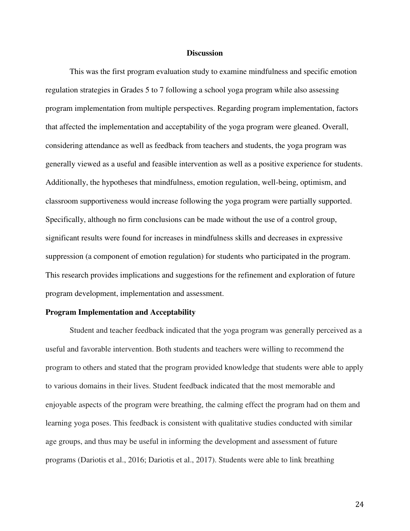#### **Discussion**

This was the first program evaluation study to examine mindfulness and specific emotion regulation strategies in Grades 5 to 7 following a school yoga program while also assessing program implementation from multiple perspectives. Regarding program implementation, factors that affected the implementation and acceptability of the yoga program were gleaned. Overall, considering attendance as well as feedback from teachers and students, the yoga program was generally viewed as a useful and feasible intervention as well as a positive experience for students. Additionally, the hypotheses that mindfulness, emotion regulation, well-being, optimism, and classroom supportiveness would increase following the yoga program were partially supported. Specifically, although no firm conclusions can be made without the use of a control group, significant results were found for increases in mindfulness skills and decreases in expressive suppression (a component of emotion regulation) for students who participated in the program. This research provides implications and suggestions for the refinement and exploration of future program development, implementation and assessment.

#### **Program Implementation and Acceptability**

Student and teacher feedback indicated that the yoga program was generally perceived as a useful and favorable intervention. Both students and teachers were willing to recommend the program to others and stated that the program provided knowledge that students were able to apply to various domains in their lives. Student feedback indicated that the most memorable and enjoyable aspects of the program were breathing, the calming effect the program had on them and learning yoga poses. This feedback is consistent with qualitative studies conducted with similar age groups, and thus may be useful in informing the development and assessment of future programs (Dariotis et al., 2016; Dariotis et al., 2017). Students were able to link breathing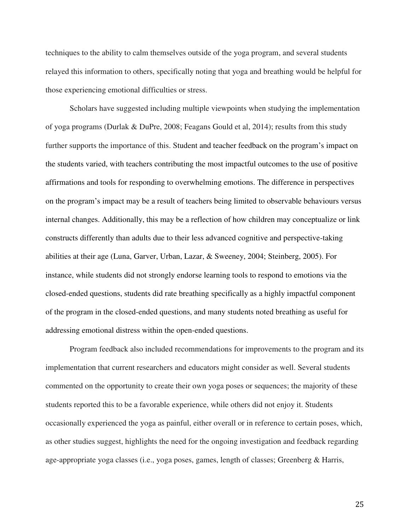techniques to the ability to calm themselves outside of the yoga program, and several students relayed this information to others, specifically noting that yoga and breathing would be helpful for those experiencing emotional difficulties or stress.

Scholars have suggested including multiple viewpoints when studying the implementation of yoga programs (Durlak & DuPre, 2008; Feagans Gould et al, 2014); results from this study further supports the importance of this. Student and teacher feedback on the program's impact on the students varied, with teachers contributing the most impactful outcomes to the use of positive affirmations and tools for responding to overwhelming emotions. The difference in perspectives on the program's impact may be a result of teachers being limited to observable behaviours versus internal changes. Additionally, this may be a reflection of how children may conceptualize or link constructs differently than adults due to their less advanced cognitive and perspective-taking abilities at their age (Luna, Garver, Urban, Lazar, & Sweeney, 2004; Steinberg, 2005). For instance, while students did not strongly endorse learning tools to respond to emotions via the closed-ended questions, students did rate breathing specifically as a highly impactful component of the program in the closed-ended questions, and many students noted breathing as useful for addressing emotional distress within the open-ended questions.

Program feedback also included recommendations for improvements to the program and its implementation that current researchers and educators might consider as well. Several students commented on the opportunity to create their own yoga poses or sequences; the majority of these students reported this to be a favorable experience, while others did not enjoy it. Students occasionally experienced the yoga as painful, either overall or in reference to certain poses, which, as other studies suggest, highlights the need for the ongoing investigation and feedback regarding age-appropriate yoga classes (i.e., yoga poses, games, length of classes; Greenberg & Harris,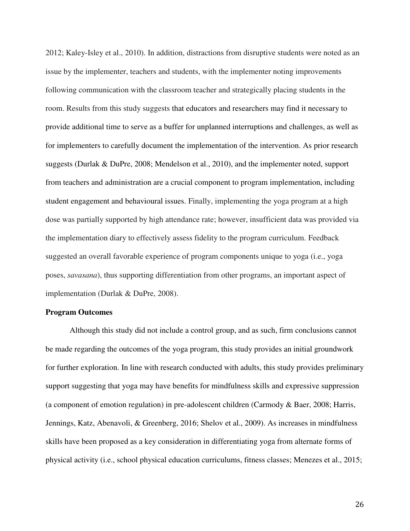2012; Kaley-Isley et al., 2010). In addition, distractions from disruptive students were noted as an issue by the implementer, teachers and students, with the implementer noting improvements following communication with the classroom teacher and strategically placing students in the room. Results from this study suggests that educators and researchers may find it necessary to provide additional time to serve as a buffer for unplanned interruptions and challenges, as well as for implementers to carefully document the implementation of the intervention. As prior research suggests (Durlak & DuPre, 2008; Mendelson et al., 2010), and the implementer noted, support from teachers and administration are a crucial component to program implementation, including student engagement and behavioural issues. Finally, implementing the yoga program at a high dose was partially supported by high attendance rate; however, insufficient data was provided via the implementation diary to effectively assess fidelity to the program curriculum. Feedback suggested an overall favorable experience of program components unique to yoga (i.e., yoga poses, *savasana*), thus supporting differentiation from other programs, an important aspect of implementation (Durlak & DuPre, 2008).

### **Program Outcomes**

Although this study did not include a control group, and as such, firm conclusions cannot be made regarding the outcomes of the yoga program, this study provides an initial groundwork for further exploration. In line with research conducted with adults, this study provides preliminary support suggesting that yoga may have benefits for mindfulness skills and expressive suppression (a component of emotion regulation) in pre-adolescent children (Carmody & Baer, 2008; Harris, Jennings, Katz, Abenavoli, & Greenberg, 2016; Shelov et al., 2009). As increases in mindfulness skills have been proposed as a key consideration in differentiating yoga from alternate forms of physical activity (i.e., school physical education curriculums, fitness classes; Menezes et al., 2015;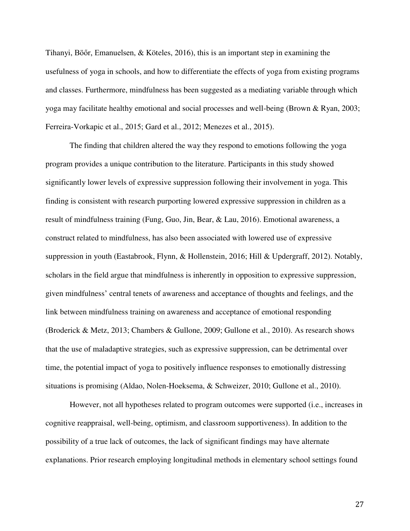Tihanyi, Böőr, Emanuelsen, & Köteles, 2016), this is an important step in examining the usefulness of yoga in schools, and how to differentiate the effects of yoga from existing programs and classes. Furthermore, mindfulness has been suggested as a mediating variable through which yoga may facilitate healthy emotional and social processes and well-being (Brown & Ryan, 2003; Ferreira-Vorkapic et al., 2015; Gard et al., 2012; Menezes et al., 2015).

The finding that children altered the way they respond to emotions following the yoga program provides a unique contribution to the literature. Participants in this study showed significantly lower levels of expressive suppression following their involvement in yoga. This finding is consistent with research purporting lowered expressive suppression in children as a result of mindfulness training (Fung, Guo, Jin, Bear, & Lau, 2016). Emotional awareness, a construct related to mindfulness, has also been associated with lowered use of expressive suppression in youth (Eastabrook, Flynn, & Hollenstein, 2016; Hill & Updergraff, 2012). Notably, scholars in the field argue that mindfulness is inherently in opposition to expressive suppression, given mindfulness' central tenets of awareness and acceptance of thoughts and feelings, and the link between mindfulness training on awareness and acceptance of emotional responding (Broderick & Metz, 2013; Chambers & Gullone, 2009; Gullone et al., 2010). As research shows that the use of maladaptive strategies, such as expressive suppression, can be detrimental over time, the potential impact of yoga to positively influence responses to emotionally distressing situations is promising (Aldao, Nolen-Hoeksema, & Schweizer, 2010; Gullone et al., 2010).

However, not all hypotheses related to program outcomes were supported (i.e., increases in cognitive reappraisal, well-being, optimism, and classroom supportiveness). In addition to the possibility of a true lack of outcomes, the lack of significant findings may have alternate explanations. Prior research employing longitudinal methods in elementary school settings found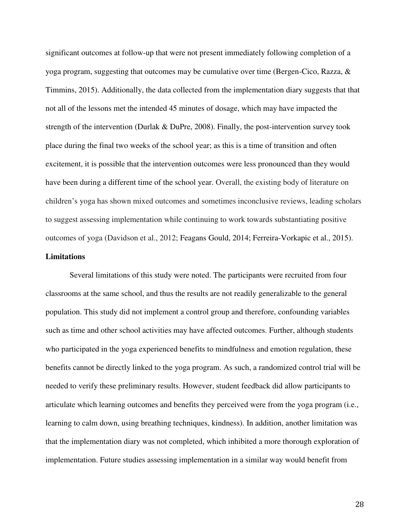significant outcomes at follow-up that were not present immediately following completion of a yoga program, suggesting that outcomes may be cumulative over time (Bergen-Cico, Razza, & Timmins, 2015). Additionally, the data collected from the implementation diary suggests that that not all of the lessons met the intended 45 minutes of dosage, which may have impacted the strength of the intervention (Durlak & DuPre, 2008). Finally, the post-intervention survey took place during the final two weeks of the school year; as this is a time of transition and often excitement, it is possible that the intervention outcomes were less pronounced than they would have been during a different time of the school year. Overall, the existing body of literature on children's yoga has shown mixed outcomes and sometimes inconclusive reviews, leading scholars to suggest assessing implementation while continuing to work towards substantiating positive outcomes of yoga (Davidson et al., 2012; Feagans Gould, 2014; Ferreira-Vorkapic et al., 2015).

## **Limitations**

Several limitations of this study were noted. The participants were recruited from four classrooms at the same school, and thus the results are not readily generalizable to the general population. This study did not implement a control group and therefore, confounding variables such as time and other school activities may have affected outcomes. Further, although students who participated in the yoga experienced benefits to mindfulness and emotion regulation, these benefits cannot be directly linked to the yoga program. As such, a randomized control trial will be needed to verify these preliminary results. However, student feedback did allow participants to articulate which learning outcomes and benefits they perceived were from the yoga program (i.e., learning to calm down, using breathing techniques, kindness). In addition, another limitation was that the implementation diary was not completed, which inhibited a more thorough exploration of implementation. Future studies assessing implementation in a similar way would benefit from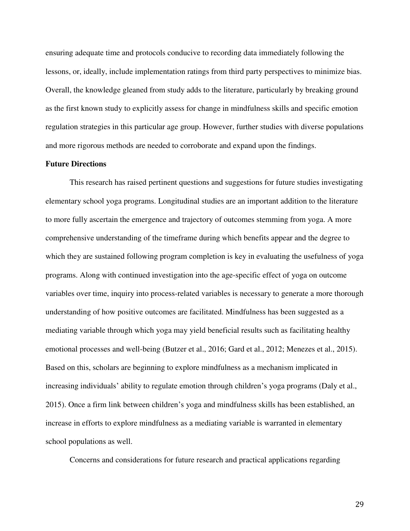ensuring adequate time and protocols conducive to recording data immediately following the lessons, or, ideally, include implementation ratings from third party perspectives to minimize bias. Overall, the knowledge gleaned from study adds to the literature, particularly by breaking ground as the first known study to explicitly assess for change in mindfulness skills and specific emotion regulation strategies in this particular age group. However, further studies with diverse populations and more rigorous methods are needed to corroborate and expand upon the findings.

#### **Future Directions**

This research has raised pertinent questions and suggestions for future studies investigating elementary school yoga programs. Longitudinal studies are an important addition to the literature to more fully ascertain the emergence and trajectory of outcomes stemming from yoga. A more comprehensive understanding of the timeframe during which benefits appear and the degree to which they are sustained following program completion is key in evaluating the usefulness of yoga programs. Along with continued investigation into the age-specific effect of yoga on outcome variables over time, inquiry into process-related variables is necessary to generate a more thorough understanding of how positive outcomes are facilitated. Mindfulness has been suggested as a mediating variable through which yoga may yield beneficial results such as facilitating healthy emotional processes and well-being (Butzer et al., 2016; Gard et al., 2012; Menezes et al., 2015). Based on this, scholars are beginning to explore mindfulness as a mechanism implicated in increasing individuals' ability to regulate emotion through children's yoga programs (Daly et al., 2015). Once a firm link between children's yoga and mindfulness skills has been established, an increase in efforts to explore mindfulness as a mediating variable is warranted in elementary school populations as well.

Concerns and considerations for future research and practical applications regarding

29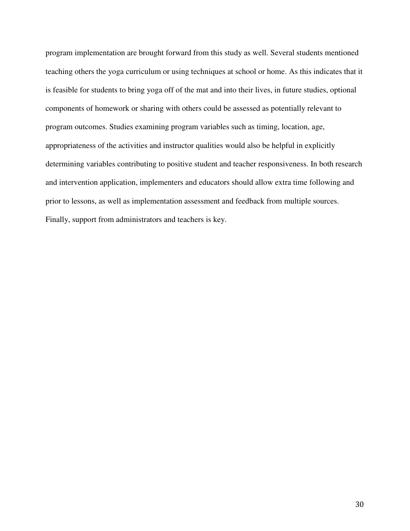program implementation are brought forward from this study as well. Several students mentioned teaching others the yoga curriculum or using techniques at school or home. As this indicates that it is feasible for students to bring yoga off of the mat and into their lives, in future studies, optional components of homework or sharing with others could be assessed as potentially relevant to program outcomes. Studies examining program variables such as timing, location, age, appropriateness of the activities and instructor qualities would also be helpful in explicitly determining variables contributing to positive student and teacher responsiveness. In both research and intervention application, implementers and educators should allow extra time following and prior to lessons, as well as implementation assessment and feedback from multiple sources. Finally, support from administrators and teachers is key.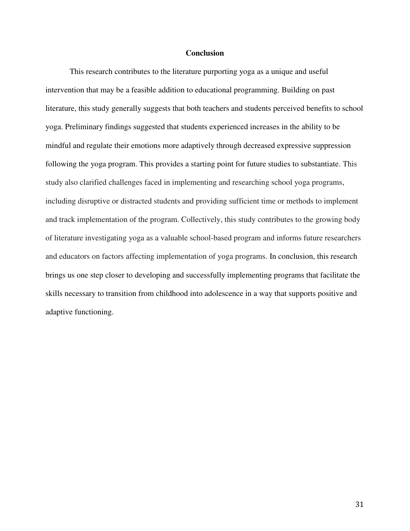#### **Conclusion**

This research contributes to the literature purporting yoga as a unique and useful intervention that may be a feasible addition to educational programming. Building on past literature, this study generally suggests that both teachers and students perceived benefits to school yoga. Preliminary findings suggested that students experienced increases in the ability to be mindful and regulate their emotions more adaptively through decreased expressive suppression following the yoga program. This provides a starting point for future studies to substantiate. This study also clarified challenges faced in implementing and researching school yoga programs, including disruptive or distracted students and providing sufficient time or methods to implement and track implementation of the program. Collectively, this study contributes to the growing body of literature investigating yoga as a valuable school-based program and informs future researchers and educators on factors affecting implementation of yoga programs. In conclusion, this research brings us one step closer to developing and successfully implementing programs that facilitate the skills necessary to transition from childhood into adolescence in a way that supports positive and adaptive functioning.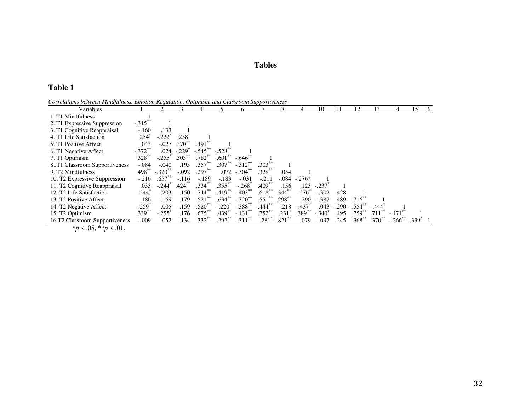## **Table 1**

*Correlations between Mindfulness, Emotion Regulation, Optimism, and Classroom Supportiveness* 

| Variables                          |                      |                       | 3                   | 4          | C                    | 6.                    |                       | 8         | 9             | 10            | 11   | 12                | 13       | 14                    | 15                | -16 |
|------------------------------------|----------------------|-----------------------|---------------------|------------|----------------------|-----------------------|-----------------------|-----------|---------------|---------------|------|-------------------|----------|-----------------------|-------------------|-----|
| 1. T1 Mindfulness                  |                      |                       |                     |            |                      |                       |                       |           |               |               |      |                   |          |                       |                   |     |
| 2. T1 Expressive Suppression       | $-.315***$           |                       |                     |            |                      |                       |                       |           |               |               |      |                   |          |                       |                   |     |
| 3. T1 Cognitive Reappraisal        | $-.160$              | .133                  |                     |            |                      |                       |                       |           |               |               |      |                   |          |                       |                   |     |
| 4. T1 Life Satisfaction            | .254°                | $-.222$ <sup>*</sup>  | .258                |            |                      |                       |                       |           |               |               |      |                   |          |                       |                   |     |
| 5. T1 Positive Affect              | .043                 | $-.027$               | $.370^{*}$          | .491       |                      |                       |                       |           |               |               |      |                   |          |                       |                   |     |
| 6. T1 Negative Affect              | $-.372**$            | .024                  | $-.229$             | $-.545$ ** | $-.528$ <sup>*</sup> |                       |                       |           |               |               |      |                   |          |                       |                   |     |
| 7. T1 Optimism                     | $.328^{**}$          | $-.255$               | $.303***$           | $.782***$  | $.601**$             | $-.646$               |                       |           |               |               |      |                   |          |                       |                   |     |
| 8T1 Classroom Supportiveness       | $-.084$              | $-.040$               | .195                | $.357***$  | $.307***$            | $-.312$ **            | $.303*$               |           |               |               |      |                   |          |                       |                   |     |
| 9. T <sub>2</sub> Mindfulness      | .498                 | $-.320$ <sup>**</sup> | $-.092$             | $.297***$  | .072                 | $-.304$ <sup>**</sup> | $.328***$             | .054      |               |               |      |                   |          |                       |                   |     |
| 10. T2 Expressive Suppression      | $-.216$              | $.657**$              | $-.116$             | $-.189$    | $-.183$              | $-.031$               | $-.211$               |           | $-.084-.276*$ |               |      |                   |          |                       |                   |     |
| 11. T2 Cognitive Reappraisal       | .033                 | $-.244$ <sup>*</sup>  | $.424$ <sup>*</sup> | $.334***$  | $.355$ <sup>*</sup>  | $-.268$ <sup>*</sup>  | $.409*$               | .156      | .123          | $-.237$       |      |                   |          |                       |                   |     |
| 12. T2 Life Satisfaction           | .244°                | $-.203$               | .150                | $.744***$  | $.419***$            | $-.403$               | $.618***$             | $.344***$ | .276°         | $-.302$       | .428 |                   |          |                       |                   |     |
| 13. T <sub>2</sub> Positive Affect | .186                 | $-.169$               | .179                | $.521$ **  | $.634***$            | $-.320$ <sup>**</sup> | $.551$ **             | $.298***$ | .290          | $-.387$       | .489 | $.716^{8}$        |          |                       |                   |     |
| 14. T2 Negative Affect             | $-.259$ <sup>*</sup> | .005                  | $-.159$             | $-.520$    | $-.220$ <sup>*</sup> | $.388**$              | $-.444$ <sup>**</sup> | $-.218$   | $-.437$       | .043          |      | $-.290-.554$ **   | $-.444$  |                       |                   |     |
| 15. T <sub>2</sub> Optimism        | $.339^{*}$           | $-.255$               | .176                | $.675^*$   | .439*                | $-.431$               | .752`                 | .231      | $.389^{**}$   | $-.340^\circ$ | .495 | $.759^{^{\circ}}$ | .711     | $-.471$               |                   |     |
| 16.T2 Classroom Supportiveness     | $-.009$              | .052                  | .134                | $.332**$   | $.292**$             | $-.311$ **            | .281                  | $.821**$  | .079          | $-.097$       | .245 | .368              | $.370**$ | $-.266$ <sup>**</sup> | .339 <sup>°</sup> |     |

 $*_{p}$  < .05,  $*_{p}$  < .01.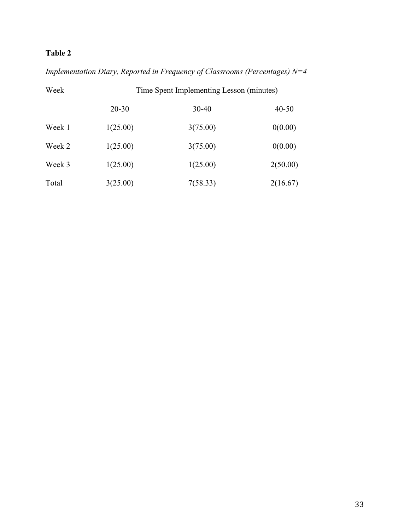| Week   | Time Spent Implementing Lesson (minutes) |           |           |  |  |  |
|--------|------------------------------------------|-----------|-----------|--|--|--|
|        | $20 - 30$                                | $30 - 40$ | $40 - 50$ |  |  |  |
| Week 1 | 1(25.00)                                 | 3(75.00)  | 0(0.00)   |  |  |  |
| Week 2 | 1(25.00)                                 | 3(75.00)  | 0(0.00)   |  |  |  |
| Week 3 | 1(25.00)                                 | 1(25.00)  | 2(50.00)  |  |  |  |
| Total  | 3(25.00)                                 | 7(58.33)  | 2(16.67)  |  |  |  |

*Implementation Diary, Reported in Frequency of Classrooms (Percentages) N=4*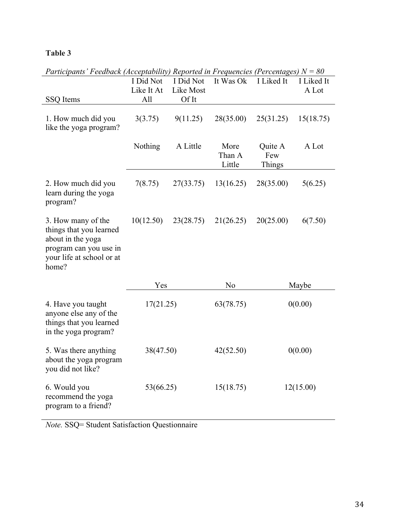| Participanis - гевараск (Accepiability) керогіва ін Frequencies (Percentages) і $v = \delta v$                                     |            |           |                          |                          |            |
|------------------------------------------------------------------------------------------------------------------------------------|------------|-----------|--------------------------|--------------------------|------------|
|                                                                                                                                    | I Did Not  | I Did Not | It Was Ok                | I Liked It               | I Liked It |
|                                                                                                                                    | Like It At | Like Most |                          |                          | A Lot      |
| SSQ Items                                                                                                                          | All        | Of It     |                          |                          |            |
| 1. How much did you<br>like the yoga program?                                                                                      | 3(3.75)    | 9(11.25)  | 28(35.00)                | 25(31.25)                | 15(18.75)  |
|                                                                                                                                    | Nothing    | A Little  | More<br>Than A<br>Little | Quite A<br>Few<br>Things | A Lot      |
| 2. How much did you<br>learn during the yoga<br>program?                                                                           | 7(8.75)    | 27(33.75) | 13(16.25)                | 28(35.00)                | 5(6.25)    |
| 3. How many of the<br>things that you learned<br>about in the yoga<br>program can you use in<br>your life at school or at<br>home? | 10(12.50)  | 23(28.75) | 21(26.25)                | 20(25.00)                | 6(7.50)    |
|                                                                                                                                    | Yes        |           | N <sub>o</sub>           |                          | Maybe      |
| 4. Have you taught<br>anyone else any of the<br>things that you learned<br>in the yoga program?                                    | 17(21.25)  |           | 63(78.75)                | 0(0.00)                  |            |
| 5. Was there anything<br>about the yoga program<br>you did not like?                                                               | 38(47.50)  |           | 42(52.50)                | 0(0.00)                  |            |
| 6. Would you<br>recommend the yoga<br>program to a friend?                                                                         | 53(66.25)  |           | 15(18.75)                | 12(15.00)                |            |

*Participants' Feedback (Acceptability) Reported in Frequencies (Percentages) N = 80*

*Note.* SSQ= Student Satisfaction Questionnaire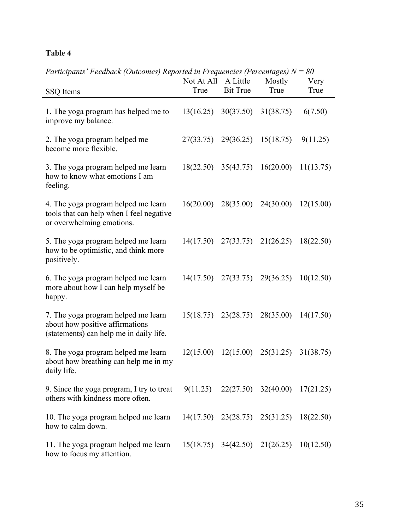| Participants' Feedback (Outcomes) Reported in Frequencies (Percentages) N                                          |                             |                         |                                        | $\delta U$   |
|--------------------------------------------------------------------------------------------------------------------|-----------------------------|-------------------------|----------------------------------------|--------------|
| SSQ Items                                                                                                          | Not At All A Little<br>True | <b>Bit True</b>         | Mostly<br>True                         | Very<br>True |
| 1. The yoga program has helped me to<br>improve my balance.                                                        | 13(16.25)                   | 30(37.50)               | 31(38.75)                              | 6(7.50)      |
| 2. The yoga program helped me<br>become more flexible.                                                             | 27(33.75)                   | 29(36.25)               | 15(18.75)                              | 9(11.25)     |
| 3. The yoga program helped me learn<br>how to know what emotions I am<br>feeling.                                  | 18(22.50)                   |                         | 35(43.75) 16(20.00) 11(13.75)          |              |
| 4. The yoga program helped me learn<br>tools that can help when I feel negative<br>or overwhelming emotions.       | 16(20.00)                   | 28(35.00)               | 24(30.00)                              | 12(15.00)    |
| 5. The yoga program helped me learn<br>how to be optimistic, and think more<br>positively.                         |                             | $14(17.50)$ $27(33.75)$ | 21(26.25)                              | 18(22.50)    |
| 6. The yoga program helped me learn<br>more about how I can help myself be<br>happy.                               | 14(17.50)                   | 27(33.75)               | 29(36.25)                              | 10(12.50)    |
| 7. The yoga program helped me learn<br>about how positive affirmations<br>(statements) can help me in daily life.  | 15(18.75)                   | 23(28.75)               | 28(35.00)                              | 14(17.50)    |
| 8. The yoga program helped me learn<br>about how breathing can help me in my<br>daily life.                        |                             | $12(15.00)$ $12(15.00)$ | 25(31.25)                              | 31(38.75)    |
| 9. Since the yoga program, I try to treat<br>others with kindness more often.                                      |                             |                         | 9(11.25) 22(27.50) 32(40.00) 17(21.25) |              |
| 10. The yoga program helped me learn 14(17.50) 23(28.75) 25(31.25) 18(22.50)<br>how to calm down.                  |                             |                         |                                        |              |
| 11. The yoga program helped me learn $15(18.75)$ $34(42.50)$ $21(26.25)$ $10(12.50)$<br>how to focus my attention. |                             |                         |                                        |              |

*Participants' Feedback (Outcomes) Reported in Frequencies (Percentages) N = 80*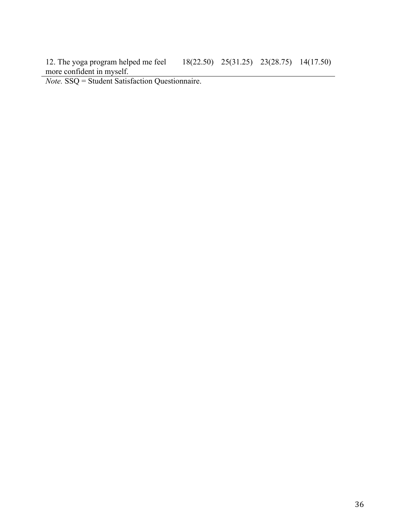12. The yoga program helped me feel more confident in myself. 18(22.50) 25(31.25) 23(28.75) 14(17.50)

*Note.* SSQ = Student Satisfaction Questionnaire.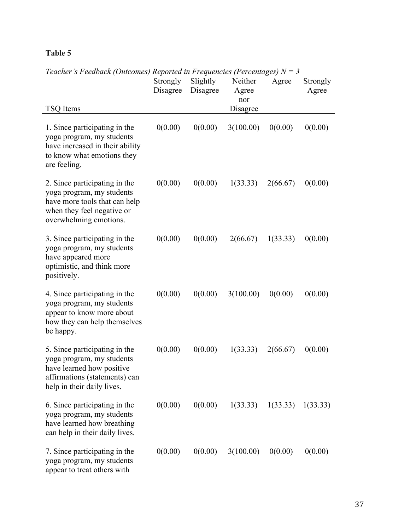| Teacher S Peeaback (Outcomes) Reported in Prequencies (Fercentages) IV –                                                                               | Strongly | Slightly | Neither      | Agree    | Strongly |
|--------------------------------------------------------------------------------------------------------------------------------------------------------|----------|----------|--------------|----------|----------|
|                                                                                                                                                        | Disagree | Disagree | Agree<br>nor |          | Agree    |
| TSQ Items                                                                                                                                              |          |          | Disagree     |          |          |
| 1. Since participating in the<br>yoga program, my students<br>have increased in their ability<br>to know what emotions they<br>are feeling.            | 0(0.00)  | 0(0.00)  | 3(100.00)    | 0(0.00)  | 0(0.00)  |
| 2. Since participating in the<br>yoga program, my students<br>have more tools that can help<br>when they feel negative or<br>overwhelming emotions.    | 0(0.00)  | 0(0.00)  | 1(33.33)     | 2(66.67) | 0(0.00)  |
| 3. Since participating in the<br>yoga program, my students<br>have appeared more<br>optimistic, and think more<br>positively.                          | 0(0.00)  | 0(0.00)  | 2(66.67)     | 1(33.33) | 0(0.00)  |
| 4. Since participating in the<br>yoga program, my students<br>appear to know more about<br>how they can help themselves<br>be happy.                   | 0(0.00)  | 0(0.00)  | 3(100.00)    | 0(0.00)  | 0(0.00)  |
| 5. Since participating in the<br>yoga program, my students<br>have learned how positive<br>affirmations (statements) can<br>help in their daily lives. | 0(0.00)  | 0(0.00)  | 1(33.33)     | 2(66.67) | 0(0.00)  |
| 6. Since participating in the<br>yoga program, my students<br>have learned how breathing<br>can help in their daily lives.                             | 0(0.00)  | 0(0.00)  | 1(33.33)     | 1(33.33) | 1(33.33) |
| 7. Since participating in the<br>yoga program, my students<br>appear to treat others with                                                              | 0(0.00)  | 0(0.00)  | 3(100.00)    | 0(0.00)  | 0(0.00)  |

*Teacher's Feedback (Outcomes) Reported in Frequencies (Percentages)*  $N = 3$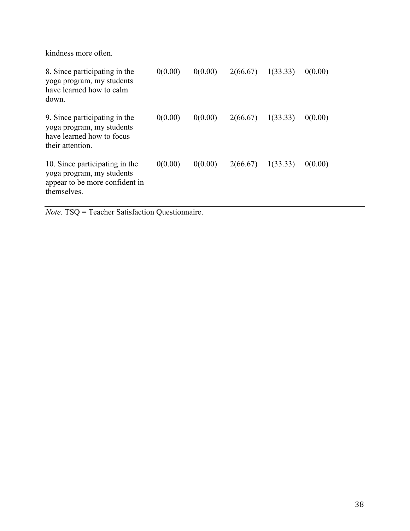kindness more often.

| 8. Since participating in the<br>yoga program, my students<br>have learned how to calm<br>down.              | 0(0.00) | 0(0.00) | 2(66.67) | 1(33.33) | 0(0.00) |
|--------------------------------------------------------------------------------------------------------------|---------|---------|----------|----------|---------|
| 9. Since participating in the<br>yoga program, my students<br>have learned how to focus<br>their attention.  | 0(0.00) | 0(0.00) | 2(66.67) | 1(33.33) | 0(0.00) |
| 10. Since participating in the<br>yoga program, my students<br>appear to be more confident in<br>themselves. | 0(0.00) | 0(0.00) | 2(66.67) | 1(33.33) | 0(0.00) |

*Note.* TSQ = Teacher Satisfaction Questionnaire.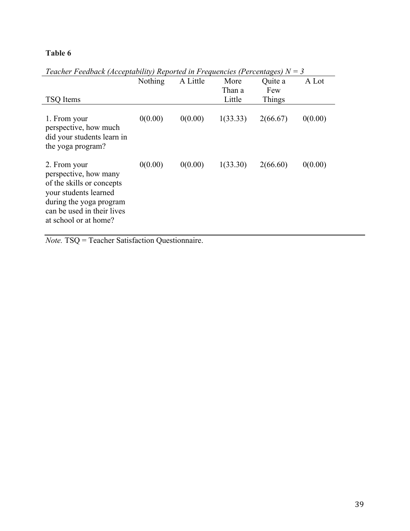| TSQ Items                                                                                                                                                                     | <b>Nothing</b> | A Little | More<br>Than a<br>Little | Quite a<br>Few<br>Things | A Lot   |
|-------------------------------------------------------------------------------------------------------------------------------------------------------------------------------|----------------|----------|--------------------------|--------------------------|---------|
| 1. From your<br>perspective, how much<br>did your students learn in<br>the yoga program?                                                                                      | 0(0.00)        | 0(0.00)  | 1(33.33)                 | 2(66.67)                 | 0(0.00) |
| 2. From your<br>perspective, how many<br>of the skills or concepts<br>your students learned<br>during the yoga program<br>can be used in their lives<br>at school or at home? | 0(0.00)        | 0(0.00)  | 1(33.30)                 | 2(66.60)                 | 0(0.00) |

*Teacher Feedback (Acceptability) Reported in Frequencies (Percentages)*  $N = 3$ 

*Note.* TSQ = Teacher Satisfaction Questionnaire.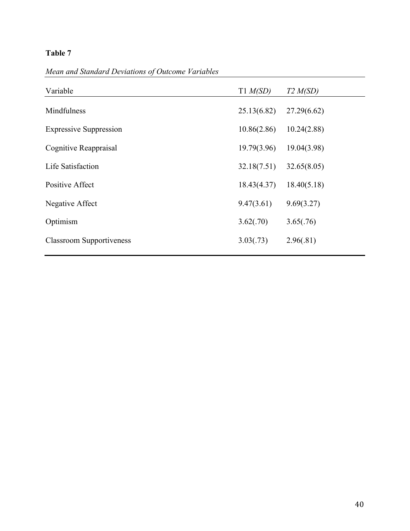*Mean and Standard Deviations of Outcome Variables*

| Variable                        | T1 M(SD)    | T2 M(SD)    |
|---------------------------------|-------------|-------------|
| Mindfulness                     | 25.13(6.82) | 27.29(6.62) |
| <b>Expressive Suppression</b>   | 10.86(2.86) | 10.24(2.88) |
| Cognitive Reappraisal           | 19.79(3.96) | 19.04(3.98) |
| Life Satisfaction               | 32.18(7.51) | 32.65(8.05) |
| Positive Affect                 | 18.43(4.37) | 18.40(5.18) |
| Negative Affect                 | 9.47(3.61)  | 9.69(3.27)  |
| Optimism                        | 3.62(.70)   | 3.65(.76)   |
| <b>Classroom Supportiveness</b> | 3.03(.73)   | 2.96(.81)   |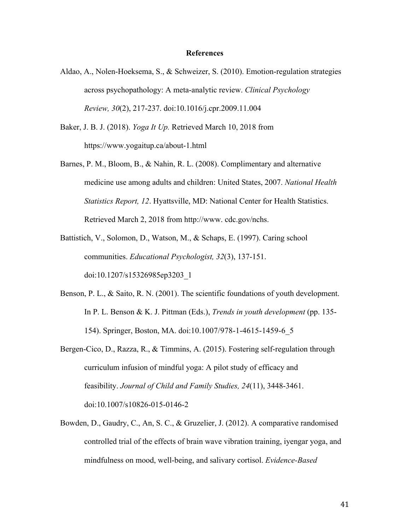#### **References**

- Aldao, A., Nolen-Hoeksema, S., & Schweizer, S. (2010). Emotion-regulation strategies across psychopathology: A meta-analytic review. *Clinical Psychology Review, 30*(2), 217-237. doi:10.1016/j.cpr.2009.11.004
- Baker, J. B. J. (2018). *Yoga It Up.* Retrieved March 10, 2018 from https://www.yogaitup.ca/about-1.html
- Barnes, P. M., Bloom, B., & Nahin, R. L. (2008). Complimentary and alternative medicine use among adults and children: United States, 2007. *National Health Statistics Report, 12*. Hyattsville, MD: National Center for Health Statistics. Retrieved March 2, 2018 from http://www. cdc.gov/nchs.
- Battistich, V., Solomon, D., Watson, M., & Schaps, E. (1997). Caring school communities. *Educational Psychologist, 32*(3), 137-151. doi:10.1207/s15326985ep3203\_1
- Benson, P. L., & Saito, R. N. (2001). The scientific foundations of youth development. In P. L. Benson & K. J. Pittman (Eds.), *Trends in youth development* (pp. 135- 154). Springer, Boston, MA. doi:10.1007/978-1-4615-1459-6\_5
- Bergen-Cico, D., Razza, R., & Timmins, A. (2015). Fostering self-regulation through curriculum infusion of mindful yoga: A pilot study of efficacy and feasibility. *Journal of Child and Family Studies, 24*(11), 3448-3461. doi:10.1007/s10826-015-0146-2
- Bowden, D., Gaudry, C., An, S. C., & Gruzelier, J. (2012). A comparative randomised controlled trial of the effects of brain wave vibration training, iyengar yoga, and mindfulness on mood, well-being, and salivary cortisol. *Evidence-Based*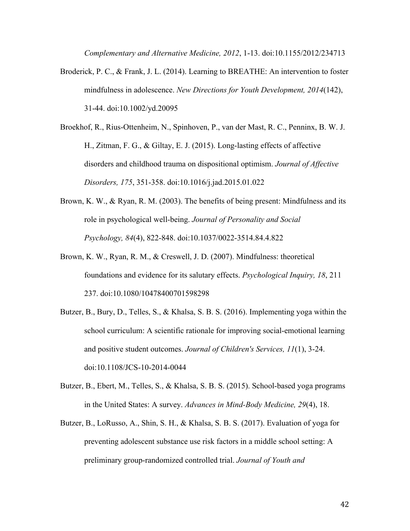*Complementary and Alternative Medicine, 2012*, 1-13. doi:10.1155/2012/234713

- Broderick, P. C., & Frank, J. L. (2014). Learning to BREATHE: An intervention to foster mindfulness in adolescence. *New Directions for Youth Development, 2014*(142), 31-44. doi:10.1002/yd.20095
- Broekhof, R., Rius-Ottenheim, N., Spinhoven, P., van der Mast, R. C., Penninx, B. W. J. H., Zitman, F. G., & Giltay, E. J. (2015). Long-lasting effects of affective disorders and childhood trauma on dispositional optimism. *Journal of Affective Disorders, 175*, 351-358. doi:10.1016/j.jad.2015.01.022
- Brown, K. W., & Ryan, R. M. (2003). The benefits of being present: Mindfulness and its role in psychological well-being. *Journal of Personality and Social Psychology, 84*(4), 822-848. doi:10.1037/0022-3514.84.4.822
- Brown, K. W., Ryan, R. M., & Creswell, J. D. (2007). Mindfulness: theoretical foundations and evidence for its salutary effects. *Psychological Inquiry, 18*, 211 237. doi:10.1080/10478400701598298
- Butzer, B., Bury, D., Telles, S., & Khalsa, S. B. S. (2016). Implementing yoga within the school curriculum: A scientific rationale for improving social-emotional learning and positive student outcomes. *Journal of Children's Services, 11*(1), 3-24. doi:10.1108/JCS-10-2014-0044
- Butzer, B., Ebert, M., Telles, S., & Khalsa, S. B. S. (2015). School-based yoga programs in the United States: A survey. *Advances in Mind-Body Medicine, 29*(4), 18.
- Butzer, B., LoRusso, A., Shin, S. H., & Khalsa, S. B. S. (2017). Evaluation of yoga for preventing adolescent substance use risk factors in a middle school setting: A preliminary group-randomized controlled trial. *Journal of Youth and*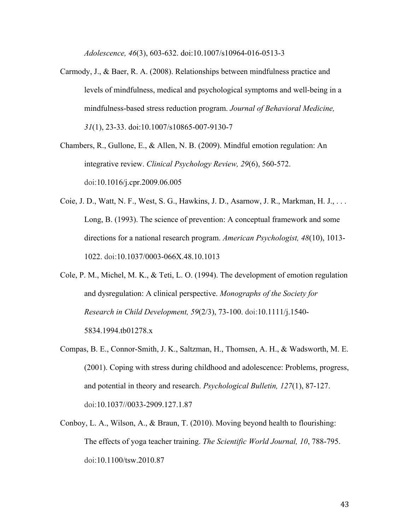*Adolescence, 46*(3), 603-632. doi:10.1007/s10964-016-0513-3

Carmody, J., & Baer, R. A. (2008). Relationships between mindfulness practice and levels of mindfulness, medical and psychological symptoms and well-being in a mindfulness-based stress reduction program. *Journal of Behavioral Medicine, 31*(1), 23-33. doi:10.1007/s10865-007-9130-7

Chambers, R., Gullone, E., & Allen, N. B. (2009). Mindful emotion regulation: An integrative review. *Clinical Psychology Review, 29*(6), 560-572. doi:10.1016/j.cpr.2009.06.005

- Coie, J. D., Watt, N. F., West, S. G., Hawkins, J. D., Asarnow, J. R., Markman, H. J., . . . Long, B. (1993). The science of prevention: A conceptual framework and some directions for a national research program. *American Psychologist, 48*(10), 1013- 1022. doi:10.1037/0003-066X.48.10.1013
- Cole, P. M., Michel, M. K., & Teti, L. O. (1994). The development of emotion regulation and dysregulation: A clinical perspective. *Monographs of the Society for Research in Child Development, 59*(2/3), 73-100. doi:10.1111/j.1540- 5834.1994.tb01278.x
- Compas, B. E., Connor-Smith, J. K., Saltzman, H., Thomsen, A. H., & Wadsworth, M. E. (2001). Coping with stress during childhood and adolescence: Problems, progress, and potential in theory and research. *Psychological Bulletin, 127*(1), 87-127. doi:10.1037//0033-2909.127.1.87
- Conboy, L. A., Wilson, A., & Braun, T. (2010). Moving beyond health to flourishing: The effects of yoga teacher training. *The Scientific World Journal, 10*, 788-795. doi:10.1100/tsw.2010.87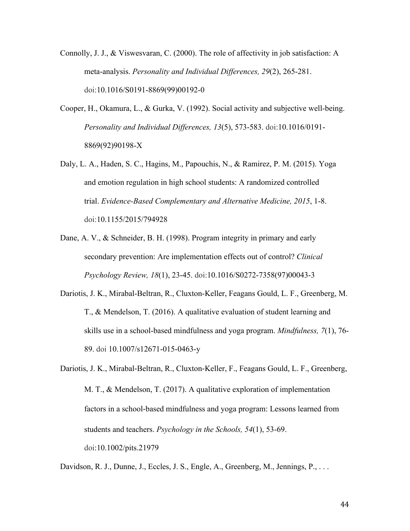- Connolly, J. J., & Viswesvaran, C. (2000). The role of affectivity in job satisfaction: A meta-analysis. *Personality and Individual Differences, 29*(2), 265-281. doi:10.1016/S0191-8869(99)00192-0
- Cooper, H., Okamura, L., & Gurka, V. (1992). Social activity and subjective well-being. *Personality and Individual Differences, 13*(5), 573-583. doi:10.1016/0191- 8869(92)90198-X
- Daly, L. A., Haden, S. C., Hagins, M., Papouchis, N., & Ramirez, P. M. (2015). Yoga and emotion regulation in high school students: A randomized controlled trial. *Evidence-Based Complementary and Alternative Medicine, 2015*, 1-8. doi:10.1155/2015/794928
- Dane, A. V., & Schneider, B. H. (1998). Program integrity in primary and early secondary prevention: Are implementation effects out of control? *Clinical Psychology Review, 18*(1), 23-45. doi:10.1016/S0272-7358(97)00043-3
- Dariotis, J. K., Mirabal-Beltran, R., Cluxton-Keller, Feagans Gould, L. F., Greenberg, M. T., & Mendelson, T. (2016). A qualitative evaluation of student learning and skills use in a school-based mindfulness and yoga program. *Mindfulness, 7*(1), 76- 89. doi 10.1007/s12671-015-0463-y
- Dariotis, J. K., Mirabal-Beltran, R., Cluxton-Keller, F., Feagans Gould, L. F., Greenberg, M. T., & Mendelson, T. (2017). A qualitative exploration of implementation factors in a school-based mindfulness and yoga program: Lessons learned from students and teachers. *Psychology in the Schools, 54*(1), 53-69. doi:10.1002/pits.21979

Davidson, R. J., Dunne, J., Eccles, J. S., Engle, A., Greenberg, M., Jennings, P., ...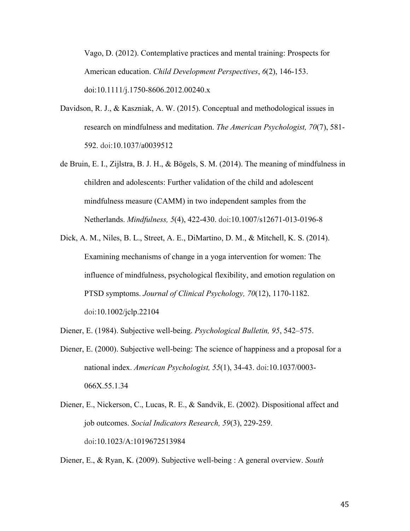Vago, D. (2012). Contemplative practices and mental training: Prospects for American education. *Child Development Perspectives*, *6*(2), 146-153. doi:10.1111/j.1750-8606.2012.00240.x

- Davidson, R. J., & Kaszniak, A. W. (2015). Conceptual and methodological issues in research on mindfulness and meditation. *The American Psychologist, 70*(7), 581- 592. doi:10.1037/a0039512
- de Bruin, E. I., Zijlstra, B. J. H., & Bögels, S. M. (2014). The meaning of mindfulness in children and adolescents: Further validation of the child and adolescent mindfulness measure (CAMM) in two independent samples from the Netherlands. *Mindfulness, 5*(4), 422-430. doi:10.1007/s12671-013-0196-8
- Dick, A. M., Niles, B. L., Street, A. E., DiMartino, D. M., & Mitchell, K. S. (2014). Examining mechanisms of change in a yoga intervention for women: The influence of mindfulness, psychological flexibility, and emotion regulation on PTSD symptoms. *Journal of Clinical Psychology, 70*(12), 1170-1182. doi:10.1002/jclp.22104
- Diener, E. (1984). Subjective well-being. *Psychological Bulletin, 95*, 542–575.
- Diener, E. (2000). Subjective well-being: The science of happiness and a proposal for a national index. *American Psychologist, 55*(1), 34-43. doi:10.1037/0003- 066X.55.1.34
- Diener, E., Nickerson, C., Lucas, R. E., & Sandvik, E. (2002). Dispositional affect and job outcomes. *Social Indicators Research, 59*(3), 229-259. doi:10.1023/A:1019672513984

Diener, E., & Ryan, K. (2009). Subjective well-being : A general overview. *South*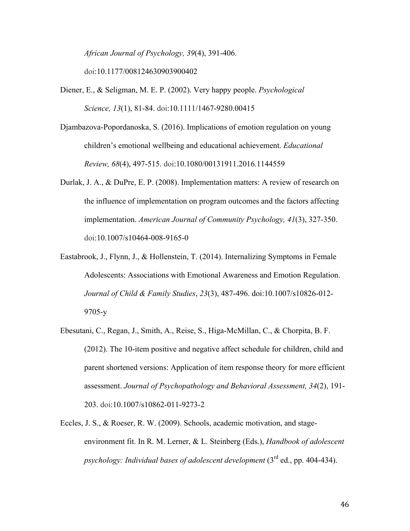*African Journal of Psychology, 39*(4), 391-406. doi:10.1177/008124630903900402

- Diener, E., & Seligman, M. E. P. (2002). Very happy people. *Psychological Science, 13*(1), 81-84. doi:10.1111/1467-9280.00415
- Djambazova-Popordanoska, S. (2016). Implications of emotion regulation on young children's emotional wellbeing and educational achievement. *Educational Review, 68*(4), 497-515. doi:10.1080/00131911.2016.1144559
- Durlak, J. A., & DuPre, E. P. (2008). Implementation matters: A review of research on the influence of implementation on program outcomes and the factors affecting implementation. *American Journal of Community Psychology, 41*(3), 327-350. doi:10.1007/s10464-008-9165-0
- Eastabrook, J., Flynn, J., & Hollenstein, T. (2014). Internalizing Symptoms in Female Adolescents: Associations with Emotional Awareness and Emotion Regulation. *Journal of Child & Family Studies*, *23*(3), 487-496. doi:10.1007/s10826-012- 9705-y
- Ebesutani, C., Regan, J., Smith, A., Reise, S., Higa-McMillan, C., & Chorpita, B. F. (2012). The 10-item positive and negative affect schedule for children, child and parent shortened versions: Application of item response theory for more efficient assessment. *Journal of Psychopathology and Behavioral Assessment, 34*(2), 191- 203. doi:10.1007/s10862-011-9273-2
- Eccles, J. S., & Roeser, R. W. (2009). Schools, academic motivation, and stageenvironment fit. In R. M. Lerner, & L. Steinberg (Eds.), *Handbook of adolescent psychology: Individual bases of adolescent development* (3<sup>rd</sup> ed., pp. 404-434).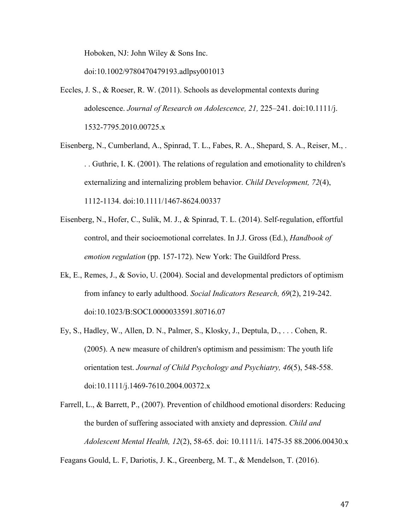Hoboken, NJ: John Wiley & Sons Inc.

doi:10.1002/9780470479193.adlpsy001013

- Eccles, J. S., & Roeser, R. W. (2011). Schools as developmental contexts during adolescence. *Journal of Research on Adolescence, 21,* 225–241. doi:10.1111/j. 1532-7795.2010.00725.x
- Eisenberg, N., Cumberland, A., Spinrad, T. L., Fabes, R. A., Shepard, S. A., Reiser, M., . . . Guthrie, I. K. (2001). The relations of regulation and emotionality to children's externalizing and internalizing problem behavior. *Child Development, 72*(4), 1112-1134. doi:10.1111/1467-8624.00337
- Eisenberg, N., Hofer, C., Sulik, M. J., & Spinrad, T. L. (2014). Self-regulation, effortful control, and their socioemotional correlates. In J.J. Gross (Ed.), *Handbook of emotion regulation* (pp. 157-172). New York: The Guildford Press.
- Ek, E., Remes, J., & Sovio, U. (2004). Social and developmental predictors of optimism from infancy to early adulthood. *Social Indicators Research, 69*(2), 219-242. doi:10.1023/B:SOCI.0000033591.80716.07
- Ey, S., Hadley, W., Allen, D. N., Palmer, S., Klosky, J., Deptula, D., . . . Cohen, R. (2005). A new measure of children's optimism and pessimism: The youth life orientation test. *Journal of Child Psychology and Psychiatry, 46*(5), 548-558. doi:10.1111/j.1469-7610.2004.00372.x
- Farrell, L., & Barrett, P., (2007). Prevention of childhood emotional disorders: Reducing the burden of suffering associated with anxiety and depression. *Child and Adolescent Mental Health, 12*(2), 58-65. doi: 10.1111/i. 1475-35 88.2006.00430.x

Feagans Gould, L. F, Dariotis, J. K., Greenberg, M. T., & Mendelson, T. (2016).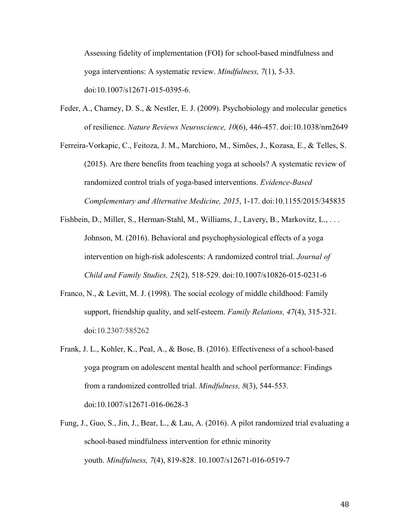Assessing fidelity of implementation (FOI) for school-based mindfulness and yoga interventions: A systematic review. *Mindfulness, 7*(1), 5-33. doi:10.1007/s12671-015-0395-6.

- Feder, A., Charney, D. S., & Nestler, E. J. (2009). Psychobiology and molecular genetics of resilience. *Nature Reviews Neuroscience, 10*(6), 446-457. doi:10.1038/nrn2649
- Ferreira-Vorkapic, C., Feitoza, J. M., Marchioro, M., Simões, J., Kozasa, E., & Telles, S. (2015). Are there benefits from teaching yoga at schools? A systematic review of randomized control trials of yoga-based interventions. *Evidence-Based Complementary and Alternative Medicine, 2015*, 1-17. doi:10.1155/2015/345835
- Fishbein, D., Miller, S., Herman-Stahl, M., Williams, J., Lavery, B., Markovitz, L., ... Johnson, M. (2016). Behavioral and psychophysiological effects of a yoga intervention on high-risk adolescents: A randomized control trial. *Journal of Child and Family Studies, 25*(2), 518-529. doi:10.1007/s10826-015-0231-6
- Franco, N., & Levitt, M. J. (1998). The social ecology of middle childhood: Family support, friendship quality, and self-esteem. *Family Relations, 47*(4), 315-321. doi:10.2307/585262
- Frank, J. L., Kohler, K., Peal, A., & Bose, B. (2016). Effectiveness of a school-based yoga program on adolescent mental health and school performance: Findings from a randomized controlled trial. *Mindfulness, 8*(3), 544-553. doi:10.1007/s12671-016-0628-3
- Fung, J., Guo, S., Jin, J., Bear, L., & Lau, A. (2016). A pilot randomized trial evaluating a school-based mindfulness intervention for ethnic minority youth. *Mindfulness, 7*(4), 819-828. 10.1007/s12671-016-0519-7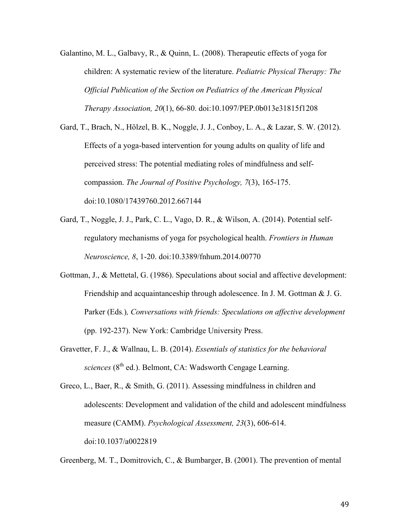Galantino, M. L., Galbavy, R., & Quinn, L. (2008). Therapeutic effects of yoga for children: A systematic review of the literature. *Pediatric Physical Therapy: The Official Publication of the Section on Pediatrics of the American Physical Therapy Association, 20*(1), 66-80. doi:10.1097/PEP.0b013e31815f1208

Gard, T., Brach, N., Hölzel, B. K., Noggle, J. J., Conboy, L. A., & Lazar, S. W. (2012). Effects of a yoga-based intervention for young adults on quality of life and perceived stress: The potential mediating roles of mindfulness and selfcompassion. *The Journal of Positive Psychology, 7*(3), 165-175. doi:10.1080/17439760.2012.667144

- Gard, T., Noggle, J. J., Park, C. L., Vago, D. R., & Wilson, A. (2014). Potential selfregulatory mechanisms of yoga for psychological health. *Frontiers in Human Neuroscience, 8*, 1-20. doi:10.3389/fnhum.2014.00770
- Gottman, J., & Mettetal, G. (1986). Speculations about social and affective development: Friendship and acquaintanceship through adolescence. In J. M. Gottman & J. G. Parker (Eds*.*)*, Conversations with friends: Speculations on affective development* (pp. 192-237). New York: Cambridge University Press.
- Gravetter, F. J., & Wallnau, L. B. (2014). *Essentials of statistics for the behavioral sciences* (8<sup>th</sup> ed.). Belmont, CA: Wadsworth Cengage Learning.

Greco, L., Baer, R., & Smith, G. (2011). Assessing mindfulness in children and adolescents: Development and validation of the child and adolescent mindfulness measure (CAMM). *Psychological Assessment, 23*(3), 606-614. doi:10.1037/a0022819

Greenberg, M. T., Domitrovich, C., & Bumbarger, B. (2001). The prevention of mental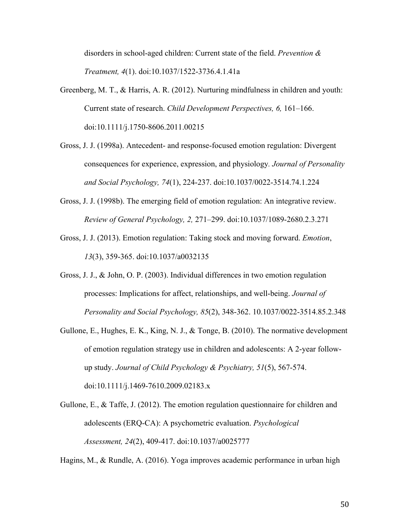disorders in school-aged children: Current state of the field. *Prevention & Treatment, 4*(1). doi:10.1037/1522-3736.4.1.41a

- Greenberg, M. T., & Harris, A. R. (2012). Nurturing mindfulness in children and youth: Current state of research. *Child Development Perspectives, 6,* 161–166. doi:10.1111/j.1750-8606.2011.00215
- Gross, J. J. (1998a). Antecedent- and response-focused emotion regulation: Divergent consequences for experience, expression, and physiology*. Journal of Personality and Social Psychology, 74*(1), 224-237. doi:10.1037/0022-3514.74.1.224
- Gross, J. J. (1998b). The emerging field of emotion regulation: An integrative review. *Review of General Psychology, 2,* 271–299. doi:10.1037/1089-2680.2.3.271
- Gross, J. J. (2013). Emotion regulation: Taking stock and moving forward. *Emotion*, *13*(3), 359-365. doi:10.1037/a0032135
- Gross, J. J., & John, O. P. (2003). Individual differences in two emotion regulation processes: Implications for affect, relationships, and well-being. *Journal of Personality and Social Psychology, 85*(2), 348-362. 10.1037/0022-3514.85.2.348
- Gullone, E., Hughes, E. K., King, N. J., & Tonge, B. (2010). The normative development of emotion regulation strategy use in children and adolescents: A 2-year followup study. *Journal of Child Psychology & Psychiatry, 51*(5), 567-574. doi:10.1111/j.1469-7610.2009.02183.x
- Gullone, E., & Taffe, J. (2012). The emotion regulation questionnaire for children and adolescents (ERQ-CA): A psychometric evaluation. *Psychological Assessment, 24*(2), 409-417. doi:10.1037/a0025777

Hagins, M., & Rundle, A. (2016). Yoga improves academic performance in urban high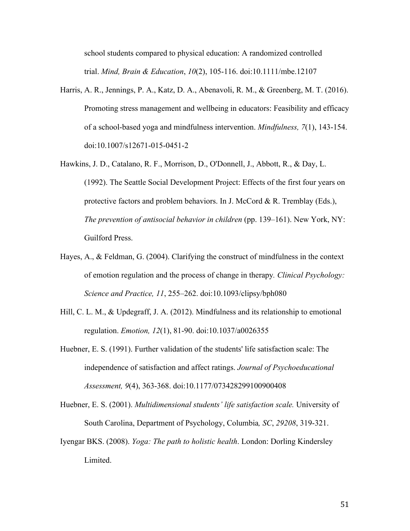school students compared to physical education: A randomized controlled trial. *Mind, Brain & Education*, *10*(2), 105-116. doi:10.1111/mbe.12107

- Harris, A. R., Jennings, P. A., Katz, D. A., Abenavoli, R. M., & Greenberg, M. T. (2016). Promoting stress management and wellbeing in educators: Feasibility and efficacy of a school-based yoga and mindfulness intervention. *Mindfulness, 7*(1), 143-154. doi:10.1007/s12671-015-0451-2
- Hawkins, J. D., Catalano, R. F., Morrison, D., O'Donnell, J., Abbott, R., & Day, L. (1992). The Seattle Social Development Project: Effects of the first four years on protective factors and problem behaviors. In J. McCord & R. Tremblay (Eds.), *The prevention of antisocial behavior in children* (pp. 139–161). New York, NY: Guilford Press.
- Hayes, A., & Feldman, G. (2004). Clarifying the construct of mindfulness in the context of emotion regulation and the process of change in therapy*. Clinical Psychology: Science and Practice, 11*, 255–262. doi:10.1093/clipsy/bph080
- Hill, C. L. M., & Updegraff, J. A. (2012). Mindfulness and its relationship to emotional regulation. *Emotion, 12*(1), 81-90. doi:10.1037/a0026355
- Huebner, E. S. (1991). Further validation of the students' life satisfaction scale: The independence of satisfaction and affect ratings. *Journal of Psychoeducational Assessment, 9*(4), 363-368. doi:10.1177/073428299100900408
- Huebner, E. S. (2001). *Multidimensional students' life satisfaction scale.* University of South Carolina, Department of Psychology, Columbia*, SC*, *29208*, 319-321.
- Iyengar BKS. (2008). *Yoga: The path to holistic health*. London: Dorling Kindersley Limited.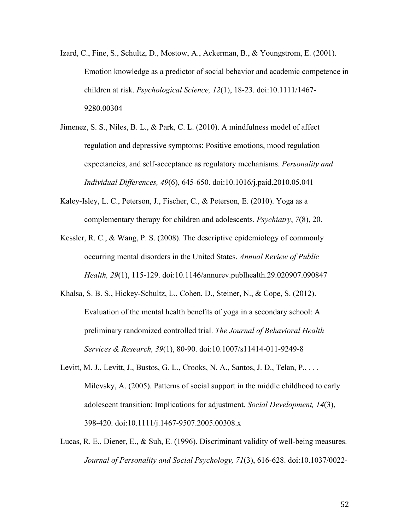- Izard, C., Fine, S., Schultz, D., Mostow, A., Ackerman, B., & Youngstrom, E. (2001). Emotion knowledge as a predictor of social behavior and academic competence in children at risk. *Psychological Science, 12*(1), 18-23. doi:10.1111/1467- 9280.00304
- Jimenez, S. S., Niles, B. L., & Park, C. L. (2010). A mindfulness model of affect regulation and depressive symptoms: Positive emotions, mood regulation expectancies, and self-acceptance as regulatory mechanisms. *Personality and Individual Differences, 49*(6), 645-650. doi:10.1016/j.paid.2010.05.041
- Kaley-Isley, L. C., Peterson, J., Fischer, C., & Peterson, E. (2010). Yoga as a complementary therapy for children and adolescents. *Psychiatry*, *7*(8), 20.
- Kessler, R. C., & Wang, P. S. (2008). The descriptive epidemiology of commonly occurring mental disorders in the United States. *Annual Review of Public Health, 29*(1), 115-129. doi:10.1146/annurev.publhealth.29.020907.090847
- Khalsa, S. B. S., Hickey-Schultz, L., Cohen, D., Steiner, N., & Cope, S. (2012). Evaluation of the mental health benefits of yoga in a secondary school: A preliminary randomized controlled trial. *The Journal of Behavioral Health Services & Research, 39*(1), 80-90. doi:10.1007/s11414-011-9249-8
- Levitt, M. J., Levitt, J., Bustos, G. L., Crooks, N. A., Santos, J. D., Telan, P., . . . Milevsky, A. (2005). Patterns of social support in the middle childhood to early adolescent transition: Implications for adjustment. *Social Development, 14*(3), 398-420. doi:10.1111/j.1467-9507.2005.00308.x
- Lucas, R. E., Diener, E., & Suh, E. (1996). Discriminant validity of well-being measures. *Journal of Personality and Social Psychology, 71*(3), 616-628. doi:10.1037/0022-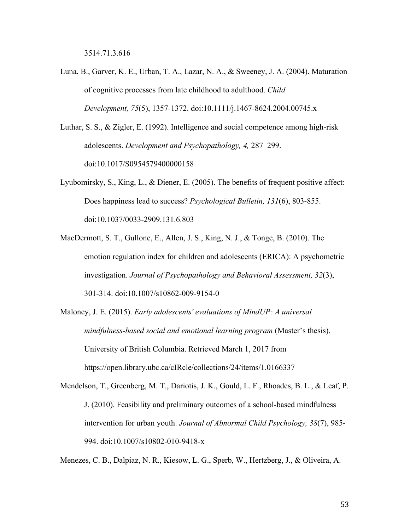3514.71.3.616

- Luna, B., Garver, K. E., Urban, T. A., Lazar, N. A., & Sweeney, J. A. (2004). Maturation of cognitive processes from late childhood to adulthood. *Child Development, 75*(5), 1357-1372. doi:10.1111/j.1467-8624.2004.00745.x
- Luthar, S. S., & Zigler, E. (1992). Intelligence and social competence among high-risk adolescents. *Development and Psychopathology, 4,* 287–299. doi:10.1017/S0954579400000158
- Lyubomirsky, S., King, L., & Diener, E. (2005). The benefits of frequent positive affect: Does happiness lead to success? *Psychological Bulletin, 131*(6), 803-855. doi:10.1037/0033-2909.131.6.803
- MacDermott, S. T., Gullone, E., Allen, J. S., King, N. J., & Tonge, B. (2010). The emotion regulation index for children and adolescents (ERICA): A psychometric investigation. *Journal of Psychopathology and Behavioral Assessment, 32*(3), 301-314. doi:10.1007/s10862-009-9154-0
- Maloney, J. E. (2015). *Early adolescents' evaluations of MindUP: A universal mindfulness-based social and emotional learning program* (Master's thesis). University of British Columbia. Retrieved March 1, 2017 from https://open.library.ubc.ca/cIRcle/collections/24/items/1.0166337
- Mendelson, T., Greenberg, M. T., Dariotis, J. K., Gould, L. F., Rhoades, B. L., & Leaf, P. J. (2010). Feasibility and preliminary outcomes of a school-based mindfulness intervention for urban youth. *Journal of Abnormal Child Psychology, 38*(7), 985- 994. doi:10.1007/s10802-010-9418-x

Menezes, C. B., Dalpiaz, N. R., Kiesow, L. G., Sperb, W., Hertzberg, J., & Oliveira, A.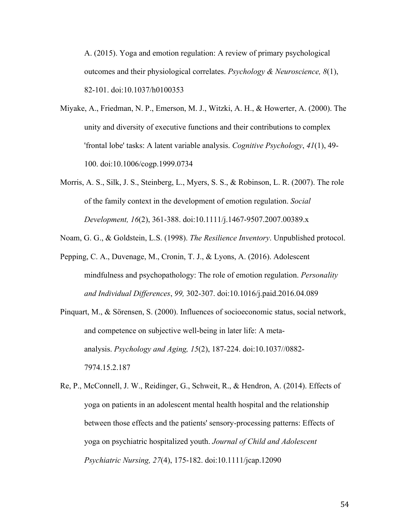A. (2015). Yoga and emotion regulation: A review of primary psychological outcomes and their physiological correlates. *Psychology & Neuroscience, 8*(1), 82-101. doi:10.1037/h0100353

- Miyake, A., Friedman, N. P., Emerson, M. J., Witzki, A. H., & Howerter, A. (2000). The unity and diversity of executive functions and their contributions to complex 'frontal lobe' tasks: A latent variable analysis. *Cognitive Psychology*, *41*(1), 49- 100. doi:10.1006/cogp.1999.0734
- Morris, A. S., Silk, J. S., Steinberg, L., Myers, S. S., & Robinson, L. R. (2007). The role of the family context in the development of emotion regulation. *Social Development, 16*(2), 361-388. doi:10.1111/j.1467-9507.2007.00389.x
- Noam, G. G., & Goldstein, L.S. (1998). *The Resilience Inventory*. Unpublished protocol.
- Pepping, C. A., Duvenage, M., Cronin, T. J., & Lyons, A. (2016). Adolescent mindfulness and psychopathology: The role of emotion regulation. *Personality and Individual Differences*, *99,* 302-307. doi:10.1016/j.paid.2016.04.089
- Pinquart, M., & Sörensen, S. (2000). Influences of socioeconomic status, social network, and competence on subjective well-being in later life: A metaanalysis. *Psychology and Aging, 15*(2), 187-224. doi:10.1037//0882- 7974.15.2.187
- Re, P., McConnell, J. W., Reidinger, G., Schweit, R., & Hendron, A. (2014). Effects of yoga on patients in an adolescent mental health hospital and the relationship between those effects and the patients' sensory-processing patterns: Effects of yoga on psychiatric hospitalized youth. *Journal of Child and Adolescent Psychiatric Nursing, 27*(4), 175-182. doi:10.1111/jcap.12090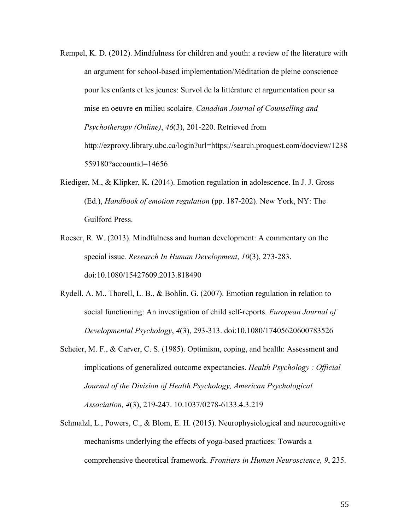- Rempel, K. D. (2012). Mindfulness for children and youth: a review of the literature with an argument for school-based implementation/Méditation de pleine conscience pour les enfants et les jeunes: Survol de la littérature et argumentation pour sa mise en oeuvre en milieu scolaire. *Canadian Journal of Counselling and Psychotherapy (Online)*, *46*(3), 201-220. Retrieved from http://ezproxy.library.ubc.ca/login?url=https://search.proquest.com/docview/1238 559180?accountid=14656
- Riediger, M., & Klipker, K. (2014). Emotion regulation in adolescence. In J. J. Gross (Ed.), *Handbook of emotion regulation* (pp. 187-202). New York, NY: The Guilford Press.
- Roeser, R. W. (2013). Mindfulness and human development: A commentary on the special issue*. Research In Human Development*, *10*(3), 273-283. doi:10.1080/15427609.2013.818490
- Rydell, A. M., Thorell, L. B., & Bohlin, G. (2007). Emotion regulation in relation to social functioning: An investigation of child self-reports. *European Journal of Developmental Psychology*, *4*(3), 293-313. doi:10.1080/17405620600783526
- Scheier, M. F., & Carver, C. S. (1985). Optimism, coping, and health: Assessment and implications of generalized outcome expectancies. *Health Psychology : Official Journal of the Division of Health Psychology, American Psychological Association, 4*(3), 219-247. 10.1037/0278-6133.4.3.219
- Schmalzl, L., Powers, C., & Blom, E. H. (2015). Neurophysiological and neurocognitive mechanisms underlying the effects of yoga-based practices: Towards a comprehensive theoretical framework. *Frontiers in Human Neuroscience, 9*, 235.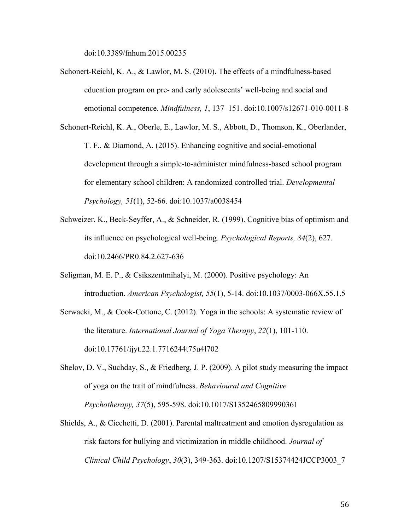doi:10.3389/fnhum.2015.00235

- Schonert-Reichl, K. A., & Lawlor, M. S. (2010). The effects of a mindfulness-based education program on pre- and early adolescents' well-being and social and emotional competence. *Mindfulness, 1*, 137–151. doi:10.1007/s12671-010-0011-8
- Schonert-Reichl, K. A., Oberle, E., Lawlor, M. S., Abbott, D., Thomson, K., Oberlander, T. F., & Diamond, A. (2015). Enhancing cognitive and social-emotional development through a simple-to-administer mindfulness-based school program for elementary school children: A randomized controlled trial. *Developmental Psychology, 51*(1), 52-66. doi:10.1037/a0038454
- Schweizer, K., Beck-Seyffer, A., & Schneider, R. (1999). Cognitive bias of optimism and its influence on psychological well-being. *Psychological Reports, 84*(2), 627. doi:10.2466/PR0.84.2.627-636
- Seligman, M. E. P., & Csikszentmihalyi, M. (2000). Positive psychology: An introduction. *American Psychologist, 55*(1), 5-14. doi:10.1037/0003-066X.55.1.5
- Serwacki, M., & Cook-Cottone, C. (2012). Yoga in the schools: A systematic review of the literature. *International Journal of Yoga Therapy*, *22*(1), 101-110. doi:10.17761/ijyt.22.1.7716244t75u4l702
- Shelov, D. V., Suchday, S., & Friedberg, J. P. (2009). A pilot study measuring the impact of yoga on the trait of mindfulness. *Behavioural and Cognitive Psychotherapy, 37*(5), 595-598. doi:10.1017/S1352465809990361
- Shields, A., & Cicchetti, D. (2001). Parental maltreatment and emotion dysregulation as risk factors for bullying and victimization in middle childhood. *Journal of Clinical Child Psychology*, *30*(3), 349-363. doi:10.1207/S15374424JCCP3003\_7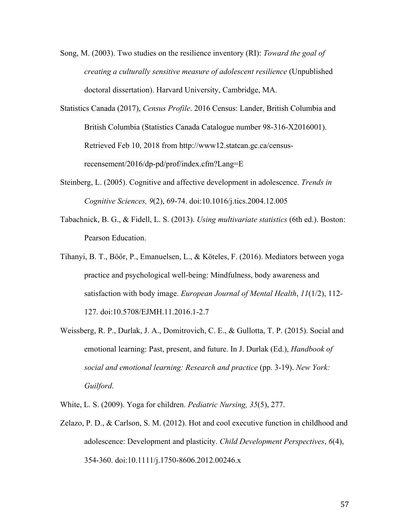- Song, M. (2003). Two studies on the resilience inventory (RI): *Toward the goal of creating a culturally sensitive measure of adolescent resilience* (Unpublished doctoral dissertation). Harvard University, Cambridge, MA.
- Statistics Canada (2017), *Census Profile*. 2016 Census: Lander, British Columbia and British Columbia (Statistics Canada Catalogue number 98-316-X2016001). Retrieved Feb 10, 2018 from http://www12.statcan.gc.ca/censusrecensement/2016/dp-pd/prof/index.cfm?Lang=E
- Steinberg, L. (2005). Cognitive and affective development in adolescence. *Trends in Cognitive Sciences, 9*(2), 69-74. doi:10.1016/j.tics.2004.12.005
- Tabachnick, B. G., & Fidell, L. S. (2013). *Using multivariate statistics* (6th ed.). Boston: Pearson Education.
- Tihanyi, B. T., Böőr, P., Emanuelsen, L., & Köteles, F. (2016). Mediators between yoga practice and psychological well-being: Mindfulness, body awareness and satisfaction with body image. *European Journal of Mental Health*, *11*(1/2), 112- 127. doi:10.5708/EJMH.11.2016.1-2.7
- Weissberg, R. P., Durlak, J. A., Domitrovich, C. E., & Gullotta, T. P. (2015). Social and emotional learning: Past, present, and future. In J. Durlak (Ed.), *Handbook of social and emotional learning: Research and practice* (pp. 3-19). *New York: Guilford*.
- White, L. S. (2009). Yoga for children. *Pediatric Nursing, 35*(5), 277.
- Zelazo, P. D., & Carlson, S. M. (2012). Hot and cool executive function in childhood and adolescence: Development and plasticity. *Child Development Perspectives*, *6*(4), 354-360. doi:10.1111/j.1750-8606.2012.00246.x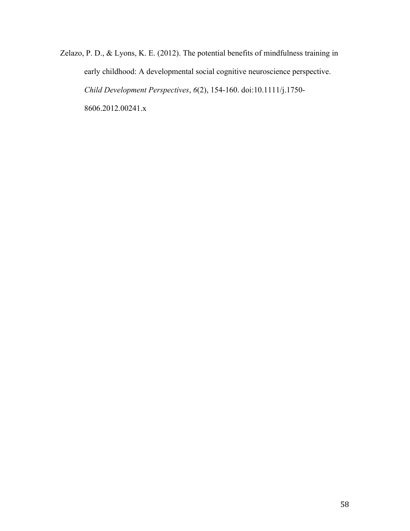Zelazo, P. D., & Lyons, K. E. (2012). The potential benefits of mindfulness training in early childhood: A developmental social cognitive neuroscience perspective. *Child Development Perspectives*, *6*(2), 154-160. doi:10.1111/j.1750- 8606.2012.00241.x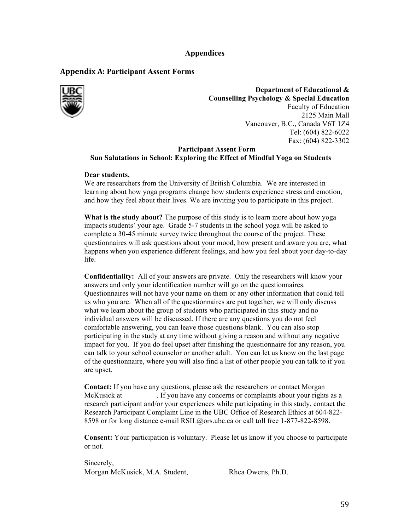## **Appendices**

## **Appendix A: Participant Assent Forms**



**Department of Educational & Counselling Psychology & Special Education** Faculty of Education 2125 Main Mall Vancouver, B.C., Canada V6T 1Z4 Tel: (604) 822-6022 Fax: (604) 822-3302

**Participant Assent Form**

**Sun Salutations in School: Exploring the Effect of Mindful Yoga on Students**

#### **Dear students,**

We are researchers from the University of British Columbia. We are interested in learning about how yoga programs change how students experience stress and emotion, and how they feel about their lives. We are inviting you to participate in this project.

**What is the study about?** The purpose of this study is to learn more about how yoga impacts students' your age. Grade 5-7 students in the school yoga will be asked to complete a 30-45 minute survey twice throughout the course of the project. These questionnaires will ask questions about your mood, how present and aware you are, what happens when you experience different feelings, and how you feel about your day-to-day life.

**Confidentiality:** All of your answers are private. Only the researchers will know your answers and only your identification number will go on the questionnaires. Questionnaires will not have your name on them or any other information that could tell us who you are. When all of the questionnaires are put together, we will only discuss what we learn about the group of students who participated in this study and no individual answers will be discussed. If there are any questions you do not feel comfortable answering, you can leave those questions blank. You can also stop participating in the study at any time without giving a reason and without any negative impact for you. If you do feel upset after finishing the questionnaire for any reason, you can talk to your school counselor or another adult. You can let us know on the last page of the questionnaire, where you will also find a list of other people you can talk to if you are upset.

**Contact:** If you have any questions, please ask the researchers or contact Morgan McKusick at . If you have any concerns or complaints about your rights as a research participant and/or your experiences while participating in this study, contact the Research Participant Complaint Line in the UBC Office of Research Ethics at 604-822- 8598 or for long distance e-mail RSIL@ors.ubc.ca or call toll free 1-877-822-8598.

**Consent:** Your participation is voluntary. Please let us know if you choose to participate or not.

Sincerely, Morgan McKusick, M.A. Student, Rhea Owens, Ph.D.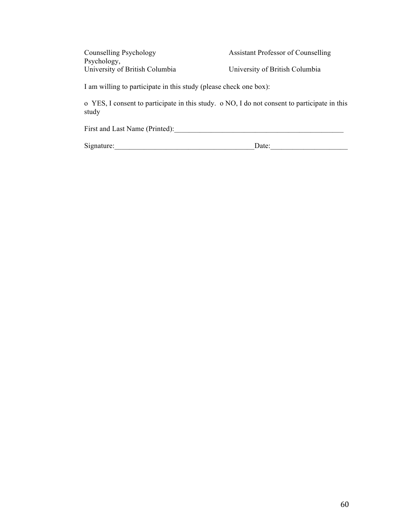Psychology,

Counselling Psychology Assistant Professor of Counselling

University of British Columbia University of British Columbia

I am willing to participate in this study (please check one box):

o YES, I consent to participate in this study. o NO, I do not consent to participate in this study

| First and Last Name (Printed): |  |
|--------------------------------|--|
|--------------------------------|--|

Signature:\_\_\_\_\_\_\_\_\_\_\_\_\_\_\_\_\_\_\_\_\_\_\_\_\_\_\_\_\_\_\_\_\_\_\_\_\_\_Date:\_\_\_\_\_\_\_\_\_\_\_\_\_\_\_\_\_\_\_\_\_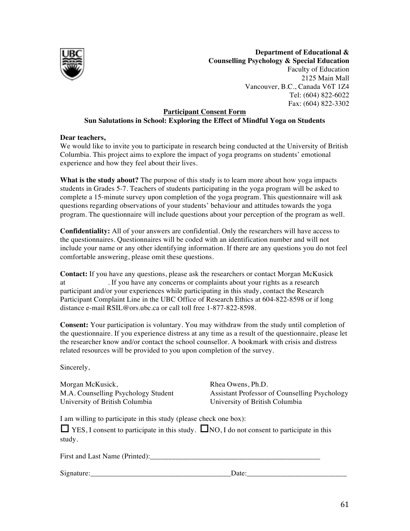

**Department of Educational & Counselling Psychology & Special Education** Faculty of Education 2125 Main Mall Vancouver, B.C., Canada V6T 1Z4 Tel: (604) 822-6022 Fax: (604) 822-3302

### **Participant Consent Form**

**Sun Salutations in School: Exploring the Effect of Mindful Yoga on Students**

#### **Dear teachers,**

We would like to invite you to participate in research being conducted at the University of British Columbia. This project aims to explore the impact of yoga programs on students' emotional experience and how they feel about their lives.

**What is the study about?** The purpose of this study is to learn more about how yoga impacts students in Grades 5-7. Teachers of students participating in the yoga program will be asked to complete a 15-minute survey upon completion of the yoga program. This questionnaire will ask questions regarding observations of your students' behaviour and attitudes towards the yoga program. The questionnaire will include questions about your perception of the program as well.

**Confidentiality:** All of your answers are confidential. Only the researchers will have access to the questionnaires. Questionnaires will be coded with an identification number and will not include your name or any other identifying information. If there are any questions you do not feel comfortable answering, please omit these questions.

**Contact:** If you have any questions, please ask the researchers or contact Morgan McKusick at . If you have any concerns or complaints about your rights as a research participant and/or your experiences while participating in this study, contact the Research Participant Complaint Line in the UBC Office of Research Ethics at 604-822-8598 or if long distance e-mail RSIL@ors.ubc.ca or call toll free 1-877-822-8598.

**Consent:** Your participation is voluntary. You may withdraw from the study until completion of the questionnaire. If you experience distress at any time as a result of the questionnaire, please let the researcher know and/or contact the school counsellor. A bookmark with crisis and distress related resources will be provided to you upon completion of the survey.

Sincerely,

Morgan McKusick,  $\blacksquare$  Rhea Owens, Ph.D. University of British Columbia University of British Columbia

M.A. Counselling Psychology Student Assistant Professor of Counselling Psychology

I am willing to participate in this study (please check one box):

| $\Box$ YES, I consent to participate in this study. $\Box$ NO, I do not consent to participate in this |  |
|--------------------------------------------------------------------------------------------------------|--|
| study.                                                                                                 |  |

First and Last Name (Printed):\_\_\_\_\_\_\_\_\_\_\_\_\_\_\_\_\_\_\_\_\_\_\_\_\_\_\_\_\_\_\_\_\_\_\_\_\_\_\_\_\_\_\_\_\_\_

Signature:\_\_\_\_\_\_\_\_\_\_\_\_\_\_\_\_\_\_\_\_\_\_\_\_\_\_\_\_\_\_\_\_\_\_\_\_\_\_Date:\_\_\_\_\_\_\_\_\_\_\_\_\_\_\_\_\_\_\_\_\_\_\_\_\_\_\_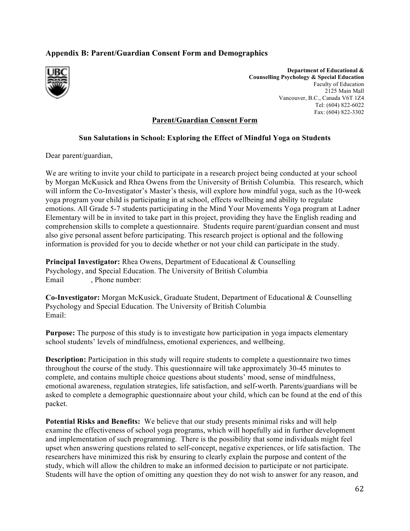## **Appendix B: Parent/Guardian Consent Form and Demographics**



**Department of Educational & Counselling Psychology & Special Education** Faculty of Education 2125 Main Mall Vancouver, B.C., Canada V6T 1Z4 Tel: (604) 822-6022 Fax: (604) 822-3302

### **Parent/Guardian Consent Form**

#### **Sun Salutations in School: Exploring the Effect of Mindful Yoga on Students**

Dear parent/guardian,

We are writing to invite your child to participate in a research project being conducted at your school by Morgan McKusick and Rhea Owens from the University of British Columbia. This research, which will inform the Co-Investigator's Master's thesis, will explore how mindful yoga, such as the 10-week yoga program your child is participating in at school, effects wellbeing and ability to regulate emotions. All Grade 5-7 students participating in the Mind Your Movements Yoga program at Ladner Elementary will be in invited to take part in this project, providing they have the English reading and comprehension skills to complete a questionnaire. Students require parent/guardian consent and must also give personal assent before participating. This research project is optional and the following information is provided for you to decide whether or not your child can participate in the study.

**Principal Investigator:** Rhea Owens, Department of Educational & Counselling Psychology, and Special Education. The University of British Columbia Email , Phone number:

**Co-Investigator:** Morgan McKusick, Graduate Student, Department of Educational & Counselling Psychology and Special Education. The University of British Columbia Email:

**Purpose:** The purpose of this study is to investigate how participation in yoga impacts elementary school students' levels of mindfulness, emotional experiences, and wellbeing.

**Description:** Participation in this study will require students to complete a questionnaire two times throughout the course of the study. This questionnaire will take approximately 30-45 minutes to complete, and contains multiple choice questions about students' mood, sense of mindfulness, emotional awareness, regulation strategies, life satisfaction, and self-worth. Parents/guardians will be asked to complete a demographic questionnaire about your child, which can be found at the end of this packet.

**Potential Risks and Benefits:** We believe that our study presents minimal risks and will help examine the effectiveness of school yoga programs, which will hopefully aid in further development and implementation of such programming. There is the possibility that some individuals might feel upset when answering questions related to self-concept, negative experiences, or life satisfaction. The researchers have minimized this risk by ensuring to clearly explain the purpose and content of the study, which will allow the children to make an informed decision to participate or not participate. Students will have the option of omitting any question they do not wish to answer for any reason, and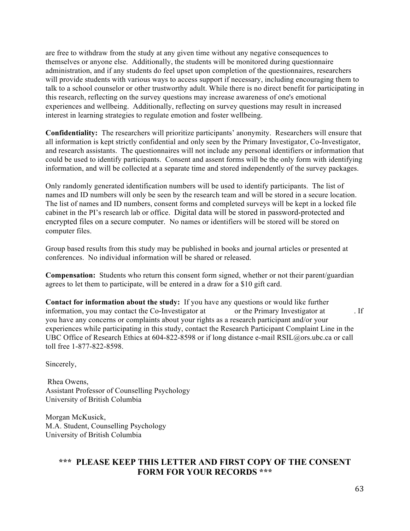are free to withdraw from the study at any given time without any negative consequences to themselves or anyone else. Additionally, the students will be monitored during questionnaire administration, and if any students do feel upset upon completion of the questionnaires, researchers will provide students with various ways to access support if necessary, including encouraging them to talk to a school counselor or other trustworthy adult. While there is no direct benefit for participating in this research, reflecting on the survey questions may increase awareness of one's emotional experiences and wellbeing. Additionally, reflecting on survey questions may result in increased interest in learning strategies to regulate emotion and foster wellbeing.

**Confidentiality:** The researchers will prioritize participants' anonymity. Researchers will ensure that all information is kept strictly confidential and only seen by the Primary Investigator, Co-Investigator, and research assistants. The questionnaires will not include any personal identifiers or information that could be used to identify participants. Consent and assent forms will be the only form with identifying information, and will be collected at a separate time and stored independently of the survey packages.

Only randomly generated identification numbers will be used to identify participants. The list of names and ID numbers will only be seen by the research team and will be stored in a secure location. The list of names and ID numbers, consent forms and completed surveys will be kept in a locked file cabinet in the PI's research lab or office. Digital data will be stored in password-protected and encrypted files on a secure computer. No names or identifiers will be stored will be stored on computer files.

Group based results from this study may be published in books and journal articles or presented at conferences. No individual information will be shared or released.

**Compensation:** Students who return this consent form signed, whether or not their parent/guardian agrees to let them to participate, will be entered in a draw for a \$10 gift card.

**Contact for information about the study:** If you have any questions or would like further information, you may contact the Co-Investigator at or the Primary Investigator at . If you have any concerns or complaints about your rights as a research participant and/or your experiences while participating in this study, contact the Research Participant Complaint Line in the UBC Office of Research Ethics at 604-822-8598 or if long distance e-mail RSIL@ors.ubc.ca or call toll free 1-877-822-8598.

Sincerely,

Rhea Owens, Assistant Professor of Counselling Psychology University of British Columbia

Morgan McKusick, M.A. Student, Counselling Psychology University of British Columbia

## **\*\*\* PLEASE KEEP THIS LETTER AND FIRST COPY OF THE CONSENT FORM FOR YOUR RECORDS \*\*\***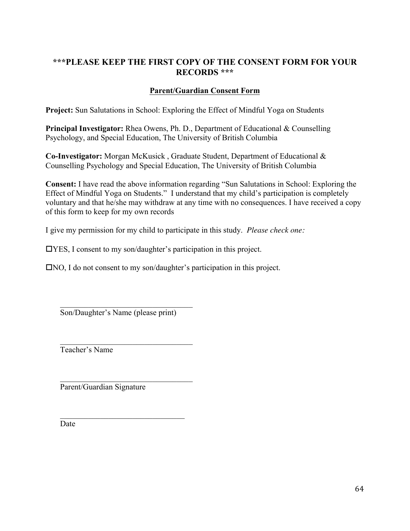## **\*\*\*PLEASE KEEP THE FIRST COPY OF THE CONSENT FORM FOR YOUR RECORDS \*\*\***

### **Parent/Guardian Consent Form**

**Project:** Sun Salutations in School: Exploring the Effect of Mindful Yoga on Students

**Principal Investigator:** Rhea Owens, Ph. D., Department of Educational & Counselling Psychology, and Special Education, The University of British Columbia

**Co-Investigator:** Morgan McKusick , Graduate Student, Department of Educational & Counselling Psychology and Special Education, The University of British Columbia

**Consent:** I have read the above information regarding "Sun Salutations in School: Exploring the Effect of Mindful Yoga on Students." I understand that my child's participation is completely voluntary and that he/she may withdraw at any time with no consequences. I have received a copy of this form to keep for my own records

I give my permission for my child to participate in this study. *Please check one:* 

 $\Box$  YES, I consent to my son/daughter's participation in this project.

 $\square$ NO, I do not consent to my son/daughter's participation in this project.

Son/Daughter's Name (please print)

 $\mathcal{L}_\text{max}$ 

\_\_\_\_\_\_\_\_\_\_\_\_\_\_\_\_\_\_\_\_\_\_\_\_\_\_\_\_\_\_\_\_\_

 $\mathcal{L}_\text{max}$ 

 $\overline{\phantom{a}}$  , and the set of the set of the set of the set of the set of the set of the set of the set of the set of the set of the set of the set of the set of the set of the set of the set of the set of the set of the s

Teacher's Name

Parent/Guardian Signature

Date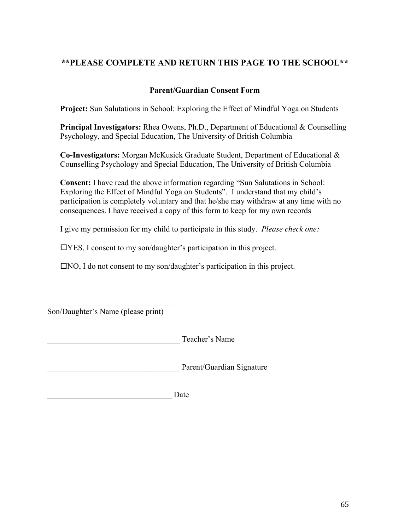# **\*\*PLEASE COMPLETE AND RETURN THIS PAGE TO THE SCHOOL\*\***

### **Parent/Guardian Consent Form**

**Project:** Sun Salutations in School: Exploring the Effect of Mindful Yoga on Students

**Principal Investigators:** Rhea Owens, Ph.D., Department of Educational & Counselling Psychology, and Special Education, The University of British Columbia

**Co-Investigators:** Morgan McKusick Graduate Student, Department of Educational & Counselling Psychology and Special Education, The University of British Columbia

**Consent:** I have read the above information regarding "Sun Salutations in School: Exploring the Effect of Mindful Yoga on Students". I understand that my child's participation is completely voluntary and that he/she may withdraw at any time with no consequences. I have received a copy of this form to keep for my own records

I give my permission for my child to participate in this study. *Please check one:* 

 $\Box$  YES, I consent to my son/daughter's participation in this project.

 $\Box$ NO, I do not consent to my son/daughter's participation in this project.

\_\_\_\_\_\_\_\_\_\_\_\_\_\_\_\_\_\_\_\_\_\_\_\_\_\_\_\_\_\_\_\_\_ Son/Daughter's Name (please print)

Teacher's Name

Parent/Guardian Signature

\_\_\_\_\_\_\_\_\_\_\_\_\_\_\_\_\_\_\_\_\_\_\_\_\_\_\_\_\_\_\_ Date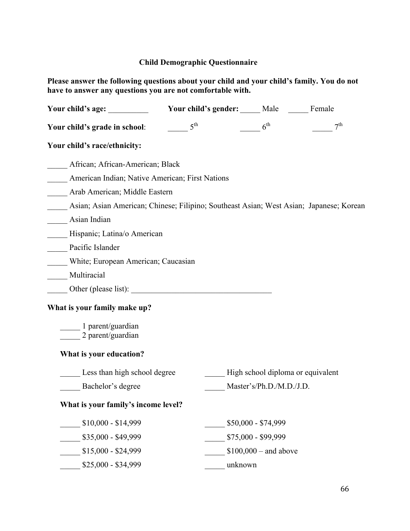## **Child Demographic Questionnaire**

**Please answer the following questions about your child and your child's family. You do not have to answer any questions you are not comfortable with.** 

| Your child's age:                                  | Your child's gender: Male                                                               |                                   | Female          |
|----------------------------------------------------|-----------------------------------------------------------------------------------------|-----------------------------------|-----------------|
| Your child's grade in school:                      | $5^{\text{th}}$                                                                         | $6^{\text{th}}$                   | 7 <sup>th</sup> |
| Your child's race/ethnicity:                       |                                                                                         |                                   |                 |
| African; African-American; Black                   |                                                                                         |                                   |                 |
| American Indian; Native American; First Nations    |                                                                                         |                                   |                 |
| Arab American; Middle Eastern                      |                                                                                         |                                   |                 |
|                                                    | Asian; Asian American; Chinese; Filipino; Southeast Asian; West Asian; Japanese; Korean |                                   |                 |
| Asian Indian                                       |                                                                                         |                                   |                 |
| Hispanic; Latina/o American                        |                                                                                         |                                   |                 |
| Pacific Islander                                   |                                                                                         |                                   |                 |
| White; European American; Caucasian                |                                                                                         |                                   |                 |
| Multiracial                                        |                                                                                         |                                   |                 |
|                                                    |                                                                                         |                                   |                 |
| What is your family make up?                       |                                                                                         |                                   |                 |
| 1 parent/guardian<br>$\frac{1}{2}$ parent/guardian |                                                                                         |                                   |                 |
| What is your education?                            |                                                                                         |                                   |                 |
| Less than high school degree                       |                                                                                         | High school diploma or equivalent |                 |
| Bachelor's degree                                  |                                                                                         | Master's/Ph.D./M.D./J.D.          |                 |
| What is your family's income level?                |                                                                                         |                                   |                 |
| $$10,000 - $14,999$                                |                                                                                         | \$50,000 - \$74,999               |                 |
| \$35,000 - \$49,999                                |                                                                                         | \$75,000 - \$99,999               |                 |
| $$15,000 - $24,999$                                |                                                                                         | $$100,000 -$ and above            |                 |
| \$25,000 - \$34,999                                | unknown                                                                                 |                                   |                 |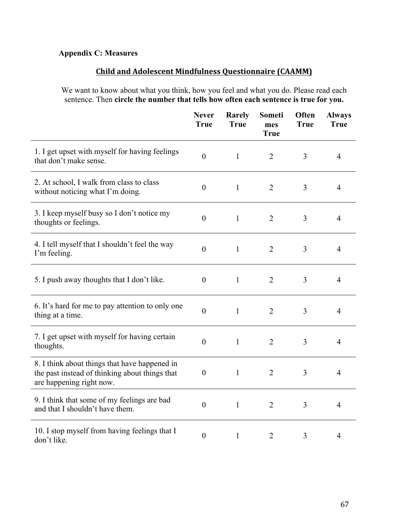## **Appendix C: Measures**

## **Child and Adolescent Mindfulness Questionnaire (CAAMM)**

We want to know about what you think, how you feel and what you do. Please read each sentence. Then **circle the number that tells how often each sentence is true for you.**

|                                                                                                                             | <b>Never</b><br><b>True</b> | Rarely<br><b>True</b> | Someti<br>mes<br><b>True</b> | Often<br><b>True</b> | <b>Always</b><br><b>True</b> |
|-----------------------------------------------------------------------------------------------------------------------------|-----------------------------|-----------------------|------------------------------|----------------------|------------------------------|
| 1. I get upset with myself for having feelings<br>that don't make sense.                                                    | $\mathbf{0}$                | $\mathbf{1}$          | $\overline{2}$               | $\overline{3}$       | 4                            |
| 2. At school, I walk from class to class<br>without noticing what I'm doing.                                                | $\mathbf{0}$                | $\mathbf{1}$          | $\overline{2}$               | $\overline{3}$       | $\overline{4}$               |
| 3. I keep myself busy so I don't notice my<br>thoughts or feelings.                                                         | $\mathbf{0}$                | $\mathbf{1}$          | $\overline{2}$               | $\overline{3}$       | $\overline{4}$               |
| 4. I tell myself that I shouldn't feel the way<br>I'm feeling.                                                              | $\theta$                    | $\mathbf{1}$          | $\overline{2}$               | $\overline{3}$       | $\overline{4}$               |
| 5. I push away thoughts that I don't like.                                                                                  | $\overline{0}$              | $\mathbf{1}$          | $\overline{2}$               | 3                    | $\overline{4}$               |
| 6. It's hard for me to pay attention to only one<br>thing at a time.                                                        | $\boldsymbol{0}$            | $\mathbf{1}$          | $\overline{2}$               | $\overline{3}$       | $\overline{4}$               |
| 7. I get upset with myself for having certain<br>thoughts.                                                                  | $\mathbf{0}$                | $\mathbf{1}$          | $\overline{2}$               | 3                    | $\overline{4}$               |
| 8. I think about things that have happened in<br>the past instead of thinking about things that<br>are happening right now. | $\boldsymbol{0}$            | $\mathbf{1}$          | $\overline{2}$               | $\overline{3}$       | 4                            |
| 9. I think that some of my feelings are bad<br>and that I shouldn't have them.                                              | $\mathbf{0}$                | $\mathbf{1}$          | $\overline{2}$               | $\overline{3}$       | $\overline{4}$               |
| 10. I stop myself from having feelings that I<br>don't like.                                                                | $\mathbf{0}$                | $\mathbf{1}$          | $\overline{2}$               | $\overline{3}$       | $\overline{4}$               |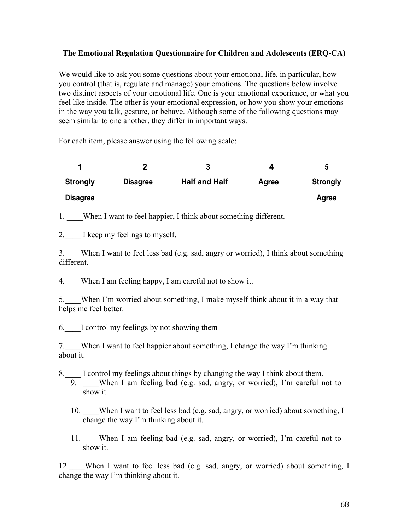#### **The Emotional Regulation Questionnaire for Children and Adolescents (ERQ-CA)**

We would like to ask you some questions about your emotional life, in particular, how you control (that is, regulate and manage) your emotions. The questions below involve two distinct aspects of your emotional life. One is your emotional experience, or what you feel like inside. The other is your emotional expression, or how you show your emotions in the way you talk, gesture, or behave. Although some of the following questions may seem similar to one another, they differ in important ways.

For each item, please answer using the following scale:

|                 |                 | 3                    | Δ     |                 |
|-----------------|-----------------|----------------------|-------|-----------------|
| <b>Strongly</b> | <b>Disagree</b> | <b>Half and Half</b> | Agree | <b>Strongly</b> |
| <b>Disagree</b> |                 |                      |       | Agree           |

1. When I want to feel happier, I think about something different.

2. I keep my feelings to myself.

3.\_\_\_\_When I want to feel less bad (e.g. sad, angry or worried), I think about something different.

4. When I am feeling happy, I am careful not to show it.

5.\_\_\_\_When I'm worried about something, I make myself think about it in a way that helps me feel better.

6.\_\_\_\_I control my feelings by not showing them

7. When I want to feel happier about something, I change the way I'm thinking about it.

- 8. I control my feelings about things by changing the way I think about them.  $\overline{9}$ . When I am feeling bad (e.g. sad, angry, or worried), I'm careful not to show it.
	- 10. When I want to feel less bad (e.g. sad, angry, or worried) about something, I change the way I'm thinking about it.
	- 11. When I am feeling bad (e.g. sad, angry, or worried), I'm careful not to show it.

12. When I want to feel less bad (e.g. sad, angry, or worried) about something, I change the way I'm thinking about it.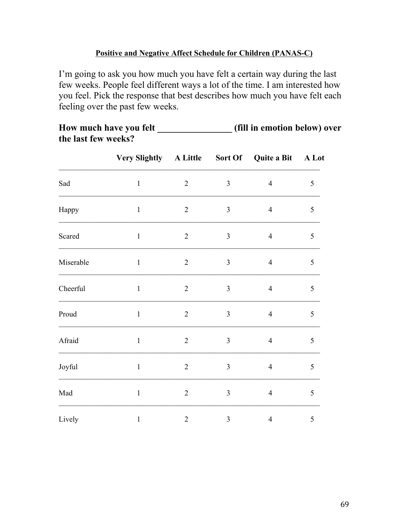## **Positive and Negative Affect Schedule for Children (PANAS-C)**

I'm going to ask you how much you have felt a certain way during the last few weeks. People feel different ways a lot of the time. I am interested how you feel. Pick the response that best describes how much you have felt each feeling over the past few weeks.

| How much have you felt | (fill in emotion below) over |
|------------------------|------------------------------|
| the last few weeks?    |                              |

|           | Very Slightly A Little Sort Of Quite a Bit A Lot |                |                |                |   |
|-----------|--------------------------------------------------|----------------|----------------|----------------|---|
| Sad       | $\,1\,$                                          | $\sqrt{2}$     | $\mathfrak{Z}$ | $\overline{4}$ | 5 |
| Happy     | $\,1\,$                                          | $\overline{2}$ | $\mathfrak{Z}$ | $\overline{4}$ | 5 |
| Scared    | $\mathbf{1}$                                     | $\sqrt{2}$     | $\mathfrak{Z}$ | $\overline{4}$ | 5 |
| Miserable | $\mathbf{1}$                                     | $\overline{2}$ | $\mathfrak{Z}$ | $\overline{4}$ | 5 |
| Cheerful  | $\mathbf{1}$                                     | $\overline{2}$ | $\mathfrak{Z}$ | $\overline{4}$ | 5 |
| Proud     | $\mathbf{1}$                                     | $\overline{2}$ | $\mathfrak{Z}$ | $\overline{4}$ | 5 |
| Afraid    | $\mathbf{1}$                                     | $\overline{2}$ | $\mathfrak{Z}$ | $\overline{4}$ | 5 |
| Joyful    | $\mathbf{1}$                                     | $\overline{2}$ | $\mathfrak{Z}$ | $\overline{4}$ | 5 |
| Mad       | $\,1\,$                                          | $\sqrt{2}$     | $\mathfrak{Z}$ | $\overline{4}$ | 5 |
| Lively    | $\mathbf{1}$                                     | $\sqrt{2}$     | $\mathfrak{Z}$ | $\overline{4}$ | 5 |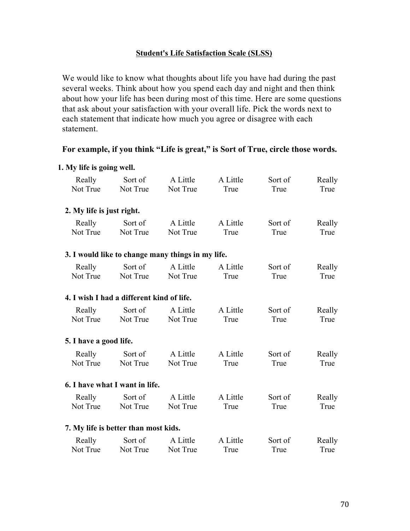#### **Student's Life Satisfaction Scale (SLSS)**

We would like to know what thoughts about life you have had during the past several weeks. Think about how you spend each day and night and then think about how your life has been during most of this time. Here are some questions that ask about your satisfaction with your overall life. Pick the words next to each statement that indicate how much you agree or disagree with each statement.

### **For example, if you think "Life is great," is Sort of True, circle those words.**

#### **1. My life is going well.**

| Really                    | Sort of                                   | A Little                                          | A Little | Sort of | Really |
|---------------------------|-------------------------------------------|---------------------------------------------------|----------|---------|--------|
| Not True                  | Not True                                  | Not True                                          | True     | True    | True   |
| 2. My life is just right. |                                           |                                                   |          |         |        |
| Really                    | Sort of                                   | A Little                                          | A Little | Sort of | Really |
| Not True                  | Not True                                  | Not True                                          | True     | True    | True   |
|                           |                                           | 3. I would like to change many things in my life. |          |         |        |
| Really                    | Sort of                                   | A Little                                          | A Little | Sort of | Really |
| Not True                  | Not True                                  | Not True                                          | True     | True    | True   |
|                           | 4. I wish I had a different kind of life. |                                                   |          |         |        |
|                           |                                           |                                                   |          |         |        |
| Really                    | Sort of                                   | A Little                                          | A Little | Sort of | Really |
| Not True                  | Not True                                  | Not True                                          | True     | True    | True   |
| 5. I have a good life.    |                                           |                                                   |          |         |        |
| Really                    | Sort of                                   | A Little                                          | A Little | Sort of | Really |
| Not True                  | Not True                                  | Not True                                          | True     | True    | True   |
|                           | 6. I have what I want in life.            |                                                   |          |         |        |
| Really                    | Sort of                                   | A Little                                          | A Little | Sort of | Really |
| Not True                  | Not True                                  | Not True                                          | True     | True    | True   |
|                           | 7. My life is better than most kids.      |                                                   |          |         |        |
| Really                    | Sort of                                   | A Little                                          | A Little | Sort of | Really |
| Not True                  | Not True                                  | Not True                                          | True     | True    | True   |
|                           |                                           |                                                   |          |         |        |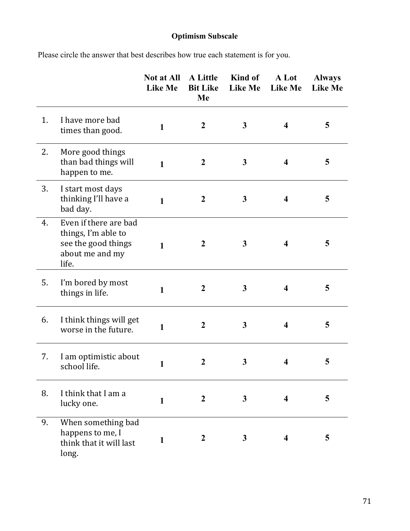# **Optimism Subscale**

Please circle the answer that best describes how true each statement is for you.

|    |                                                                                                 | <b>Not at All</b><br><b>Like Me</b> | <b>A</b> Little<br><b>Bit Like</b><br>Me | Kind of<br><b>Like Me</b> | A Lot<br><b>Like Me</b> | <b>Always</b><br><b>Like Me</b> |
|----|-------------------------------------------------------------------------------------------------|-------------------------------------|------------------------------------------|---------------------------|-------------------------|---------------------------------|
| 1. | I have more bad<br>times than good.                                                             | 1                                   | $\boldsymbol{2}$                         | $\mathbf{3}$              | $\overline{\mathbf{4}}$ | 5                               |
| 2. | More good things<br>than bad things will<br>happen to me.                                       | $\mathbf{1}$                        | $\boldsymbol{2}$                         | 3                         | 4                       | 5                               |
| 3. | I start most days<br>thinking I'll have a<br>bad day.                                           | $\mathbf{1}$                        | $\boldsymbol{2}$                         | $\mathbf{3}$              | 4                       | 5                               |
| 4. | Even if there are bad<br>things, I'm able to<br>see the good things<br>about me and my<br>life. | $\mathbf{1}$                        | 2                                        | 3                         | 4                       | 5                               |
| 5. | I'm bored by most<br>things in life.                                                            | 1                                   | $\boldsymbol{2}$                         | 3                         | 4                       | 5                               |
| 6. | I think things will get<br>worse in the future.                                                 | 1                                   | $\boldsymbol{2}$                         | $\mathbf{3}$              | 4                       | 5                               |
| 7. | I am optimistic about<br>school life.                                                           | 1                                   | 2                                        | 3                         |                         | 5                               |
| 8. | I think that I am a<br>lucky one.                                                               | $\mathbf{1}$                        | $\boldsymbol{2}$                         | 3                         | 4                       | 5                               |
| 9. | When something bad<br>happens to me, I<br>think that it will last<br>long.                      | 1                                   | $\boldsymbol{2}$                         | $\mathbf{3}$              | 4                       | 5                               |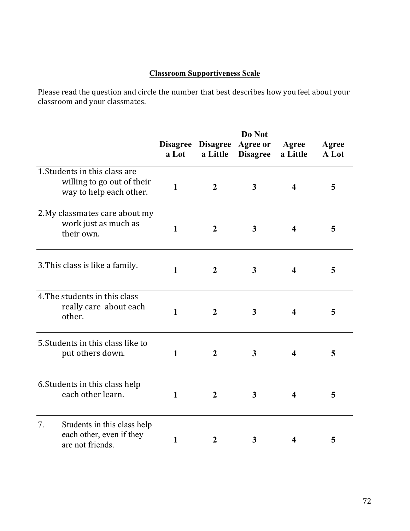# **Classroom Supportiveness Scale**

Please read the question and circle the number that best describes how you feel about your classroom and your classmates.

|                                                                                        |              |                               | Do Not                      |                         |                |
|----------------------------------------------------------------------------------------|--------------|-------------------------------|-----------------------------|-------------------------|----------------|
|                                                                                        | a Lot        | Disagree Disagree<br>a Little | Agree or<br><b>Disagree</b> | Agree<br>a Little       | Agree<br>A Lot |
| 1. Students in this class are<br>willing to go out of their<br>way to help each other. | 1            | $\overline{2}$                | $\overline{\mathbf{3}}$     | $\overline{\mathbf{4}}$ | 5              |
| 2. My classmates care about my<br>work just as much as<br>their own.                   | $\mathbf{1}$ | $\boldsymbol{2}$              | $\mathbf{3}$                | 4                       | 5              |
| 3. This class is like a family.                                                        | $\mathbf{1}$ | $\overline{2}$                | $\overline{\mathbf{3}}$     | $\overline{\mathbf{4}}$ | 5              |
| 4. The students in this class<br>really care about each<br>other.                      | $\mathbf{1}$ | $\overline{2}$                | 3                           | $\boldsymbol{4}$        | 5              |
| 5. Students in this class like to<br>put others down.                                  | $\mathbf{1}$ | $\boldsymbol{2}$              | 3                           | $\boldsymbol{4}$        | 5              |
| 6. Students in this class help<br>each other learn.                                    | $\mathbf{1}$ | $\overline{2}$                | 3                           | $\overline{\mathbf{4}}$ | 5              |
| 7.<br>Students in this class help<br>each other, even if they<br>are not friends.      | $\mathbf{1}$ | $\boldsymbol{2}$              | 3                           | 4                       | 5              |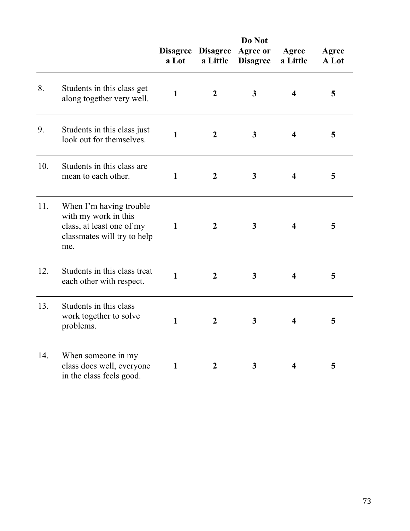|     |                                                                                                                    | a Lot        | Disagree Disagree<br>a Little | Do Not<br>Agree or<br><b>Disagree</b> | Agree<br>a Little       | Agree<br>A Lot |
|-----|--------------------------------------------------------------------------------------------------------------------|--------------|-------------------------------|---------------------------------------|-------------------------|----------------|
| 8.  | Students in this class get<br>along together very well.                                                            | $\mathbf{1}$ | $\boldsymbol{2}$              | $\mathbf{3}$                          | $\overline{\mathbf{4}}$ | 5              |
| 9.  | Students in this class just<br>look out for themselves.                                                            | 1            | $\boldsymbol{2}$              | $\mathbf{3}$                          | 4                       | 5              |
| 10. | Students in this class are<br>mean to each other.                                                                  | 1            | $\boldsymbol{2}$              | $\mathbf{3}$                          | $\overline{\mathbf{4}}$ | 5              |
| 11. | When I'm having trouble<br>with my work in this<br>class, at least one of my<br>classmates will try to help<br>me. | 1            | 2                             | $\mathbf{3}$                          | 4                       | 5              |
| 12. | Students in this class treat<br>each other with respect.                                                           | $\mathbf{1}$ | $\boldsymbol{2}$              | $\mathbf{3}$                          | 4                       | 5              |
| 13. | Students in this class<br>work together to solve<br>problems.                                                      | 1            | $\overline{2}$                | $\mathbf{3}$                          | $\overline{\mathbf{4}}$ | 5              |
| 14. | When someone in my<br>class does well, everyone<br>in the class feels good.                                        | $\mathbf{1}$ | $\boldsymbol{2}$              | 3                                     | 4                       | 5              |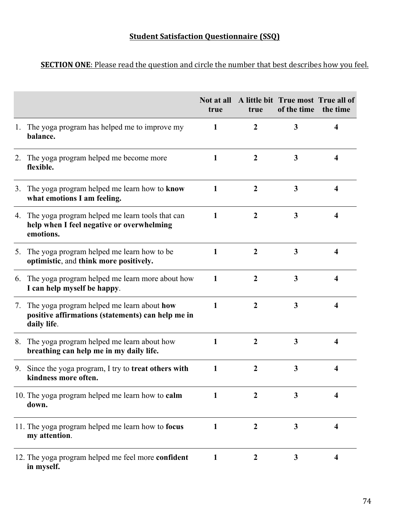# **Student Satisfaction Questionnaire (SSQ)**

# **SECTION ONE**: Please read the question and circle the number that best describes how you feel.

|                    |                                                                                                                | true         | true             | Not at all A little bit True most True all of<br>of the time | the time |
|--------------------|----------------------------------------------------------------------------------------------------------------|--------------|------------------|--------------------------------------------------------------|----------|
| $\mathbf{I}_{\pm}$ | The yoga program has helped me to improve my<br>balance.                                                       | 1            | $\overline{2}$   | 3                                                            | 4        |
|                    | 2. The yoga program helped me become more<br>flexible.                                                         | 1            | $\overline{2}$   | $\overline{\mathbf{3}}$                                      | 4        |
|                    | 3. The yoga program helped me learn how to <b>know</b><br>what emotions I am feeling.                          | $\mathbf{1}$ | $\boldsymbol{2}$ | $\overline{\mathbf{3}}$                                      | 4        |
|                    | 4. The yoga program helped me learn tools that can<br>help when I feel negative or overwhelming<br>emotions.   | 1            | $\mathbf{2}$     | 3                                                            | 4        |
|                    | 5. The yoga program helped me learn how to be<br>optimistic, and think more positively.                        | 1            | $\boldsymbol{2}$ | $\mathbf{3}$                                                 | 4        |
| 6.                 | The yoga program helped me learn more about how<br>I can help myself be happy.                                 | 1            | $\overline{2}$   | $\overline{\mathbf{3}}$                                      | 4        |
| 7.                 | The yoga program helped me learn about how<br>positive affirmations (statements) can help me in<br>daily life. | 1            | $\overline{2}$   | $\overline{\mathbf{3}}$                                      | 4        |
| 8.                 | The yoga program helped me learn about how<br>breathing can help me in my daily life.                          | 1            | $\boldsymbol{2}$ | 3                                                            | 4        |
| 9.                 | Since the yoga program, I try to <b>treat others with</b><br>kindness more often.                              | 1            | $\boldsymbol{2}$ | $\mathbf{3}$                                                 | 4        |
|                    | 10. The yoga program helped me learn how to calm<br>down.                                                      | 1            | $\boldsymbol{2}$ | 3                                                            | 4        |
|                    | 11. The yoga program helped me learn how to focus<br>my attention.                                             | 1            | $\overline{2}$   | 3                                                            | 4        |
|                    | 12. The yoga program helped me feel more confident<br>in myself.                                               | $\mathbf{1}$ | $\boldsymbol{2}$ | 3                                                            | 4        |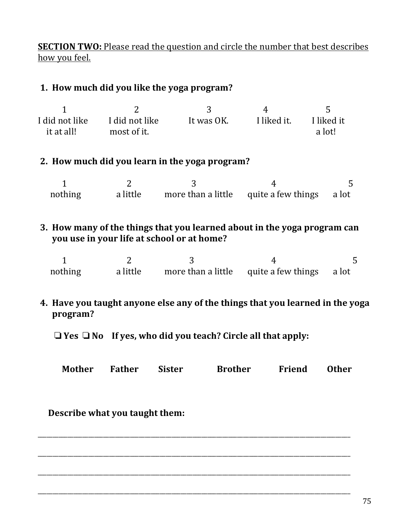**SECTION TWO:** Please read the question and circle the number that best describes how you feel.

# **1. How much did you like the yoga program?**

|                |                |            | 4           |            |  |
|----------------|----------------|------------|-------------|------------|--|
| I did not like | I did not like | It was OK. | I liked it. | I liked it |  |
| it at all!     | most of it.    |            |             | a lot!     |  |

# **2. How much did you learn in the yoga program?**

| nothing | a little | more than a little guite a few things a lot |  |
|---------|----------|---------------------------------------------|--|

**3.** How many of the things that you learned about in the yoga program can **you use in your life at school or at home?** 

| nothing | a little | more than a little quite a few things a lot |  |
|---------|----------|---------------------------------------------|--|

**4.** Have you taught anyone else any of the things that you learned in the yoga **program?** 

 ❏ **Yes** ❏ **No If yes, who did you teach? Circle all that apply:** 

| <b>Mother</b> | Father | <b>Sister</b> | <b>Brother</b> | Friend | <b>Other</b> |
|---------------|--------|---------------|----------------|--------|--------------|
|               |        |               |                |        |              |

\_\_\_\_\_\_\_\_\_\_\_\_\_\_\_\_\_\_\_\_\_\_\_\_\_\_\_\_\_\_\_\_\_\_\_\_\_\_\_\_\_\_\_\_\_\_\_\_\_\_\_\_\_\_\_\_\_\_\_\_\_\_\_\_\_\_\_\_\_\_\_\_\_\_\_\_\_\_\_\_\_\_\_\_\_\_\_\_\_\_\_\_\_\_\_\_\_\_\_\_\_\_\_\_\_

\_\_\_\_\_\_\_\_\_\_\_\_\_\_\_\_\_\_\_\_\_\_\_\_\_\_\_\_\_\_\_\_\_\_\_\_\_\_\_\_\_\_\_\_\_\_\_\_\_\_\_\_\_\_\_\_\_\_\_\_\_\_\_\_\_\_\_\_\_\_\_\_\_\_\_\_\_\_\_\_\_\_\_\_\_\_\_\_\_\_\_\_\_\_\_\_\_\_\_\_\_\_\_\_\_

\_\_\_\_\_\_\_\_\_\_\_\_\_\_\_\_\_\_\_\_\_\_\_\_\_\_\_\_\_\_\_\_\_\_\_\_\_\_\_\_\_\_\_\_\_\_\_\_\_\_\_\_\_\_\_\_\_\_\_\_\_\_\_\_\_\_\_\_\_\_\_\_\_\_\_\_\_\_\_\_\_\_\_\_\_\_\_\_\_\_\_\_\_\_\_\_\_\_\_\_\_\_\_\_\_

\_\_\_\_\_\_\_\_\_\_\_\_\_\_\_\_\_\_\_\_\_\_\_\_\_\_\_\_\_\_\_\_\_\_\_\_\_\_\_\_\_\_\_\_\_\_\_\_\_\_\_\_\_\_\_\_\_\_\_\_\_\_\_\_\_\_\_\_\_\_\_\_\_\_\_\_\_\_\_\_\_\_\_\_\_\_\_\_\_\_\_\_\_\_\_\_\_\_\_\_\_\_\_\_\_

**Describe what you taught them:**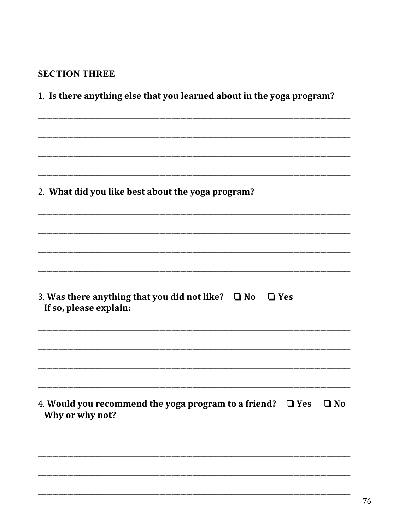# **SECTION THREE**

| 1. Is there anything else that you learned about in the yoga program?                           |  |  |  |  |
|-------------------------------------------------------------------------------------------------|--|--|--|--|
|                                                                                                 |  |  |  |  |
|                                                                                                 |  |  |  |  |
|                                                                                                 |  |  |  |  |
|                                                                                                 |  |  |  |  |
| 2. What did you like best about the yoga program?                                               |  |  |  |  |
|                                                                                                 |  |  |  |  |
|                                                                                                 |  |  |  |  |
|                                                                                                 |  |  |  |  |
|                                                                                                 |  |  |  |  |
| 3. Was there anything that you did not like? $\Box$ No<br>$\Box$ Yes<br>If so, please explain:  |  |  |  |  |
|                                                                                                 |  |  |  |  |
|                                                                                                 |  |  |  |  |
|                                                                                                 |  |  |  |  |
| 4. Would you recommend the yoga program to a friend? $\Box$ Yes<br>$\Box$ No<br>Why or why not? |  |  |  |  |
|                                                                                                 |  |  |  |  |
|                                                                                                 |  |  |  |  |
|                                                                                                 |  |  |  |  |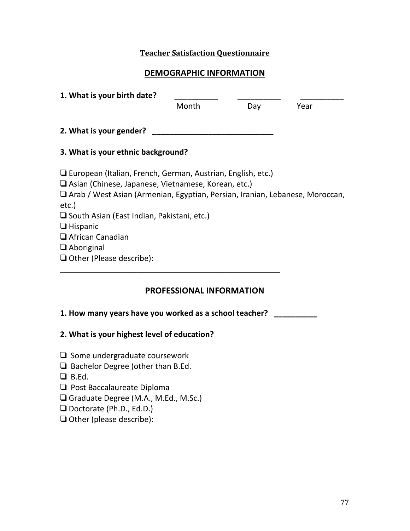## **Teacher Satisfaction Questionnaire**

## **DEMOGRAPHIC INFORMATION**

| 1. What is your birth date?                                                                                                                                                                                                                                                                                                                                                            |       |     |      |
|----------------------------------------------------------------------------------------------------------------------------------------------------------------------------------------------------------------------------------------------------------------------------------------------------------------------------------------------------------------------------------------|-------|-----|------|
|                                                                                                                                                                                                                                                                                                                                                                                        | Month | Day | Year |
| 2. What is your gender?                                                                                                                                                                                                                                                                                                                                                                |       |     |      |
| 3. What is your ethnic background?                                                                                                                                                                                                                                                                                                                                                     |       |     |      |
| $\Box$ European (Italian, French, German, Austrian, English, etc.)<br>$\Box$ Asian (Chinese, Japanese, Vietnamese, Korean, etc.)<br>□ Arab / West Asian (Armenian, Egyptian, Persian, Iranian, Lebanese, Moroccan,<br>etc.)<br>$\Box$ South Asian (East Indian, Pakistani, etc.)<br>$\Box$ Hispanic<br>$\Box$ African Canadian<br>$\Box$ Aboriginal<br>$\Box$ Other (Please describe): |       |     |      |

## **PROFESSIONAL INFORMATION**

### **1. How many years have you worked as a school teacher?**

## **2. What is your highest level of education?**

□ Some undergraduate coursework

- □ Bachelor Degree (other than B.Ed.
- $\Box$  B.Ed.
- □ Post Baccalaureate Diploma

□ Graduate Degree (M.A., M.Ed., M.Sc.)

❏ Doctorate (Ph.D., Ed.D.)

❏ Other (please describe):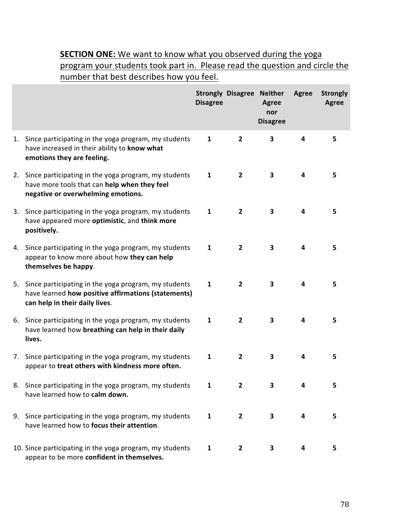# **SECTION ONE:** We want to know what you observed during the yoga program your students took part in. Please read the question and circle the number that best describes how you feel.

|    |                                                                                                                                               | <b>Disagree</b> | <b>Strongly Disagree Neither</b> | <b>Agree</b><br>nor<br><b>Disagree</b> | <b>Agree</b>            | <b>Strongly</b><br><b>Agree</b> |
|----|-----------------------------------------------------------------------------------------------------------------------------------------------|-----------------|----------------------------------|----------------------------------------|-------------------------|---------------------------------|
| 1. | Since participating in the yoga program, my students<br>have increased in their ability to know what<br>emotions they are feeling.            | $\mathbf{1}$    | $\overline{2}$                   | 3                                      | $\overline{\mathbf{4}}$ | 5                               |
| 2. | Since participating in the yoga program, my students<br>have more tools that can help when they feel<br>negative or overwhelming emotions.    | $\mathbf{1}$    | $\mathbf{2}$                     | 3                                      | $\overline{\mathbf{4}}$ | 5                               |
| 3. | Since participating in the yoga program, my students<br>have appeared more optimistic, and think more<br>positively.                          | $\mathbf{1}$    | $\overline{2}$                   | 3                                      | $\overline{\mathbf{4}}$ | 5                               |
| 4. | Since participating in the yoga program, my students<br>appear to know more about how they can help<br>themselves be happy.                   | $\mathbf{1}$    | $\overline{2}$                   | 3                                      | $\overline{\mathbf{4}}$ | 5                               |
| 5. | Since participating in the yoga program, my students<br>have learned how positive affirmations (statements)<br>can help in their daily lives. | 1               | $\overline{2}$                   | 3                                      | 4                       | 5                               |
| 6. | Since participating in the yoga program, my students<br>have learned how breathing can help in their daily<br>lives.                          | $\mathbf{1}$    | $\overline{2}$                   | 3                                      | $\overline{\mathbf{4}}$ | 5                               |
| 7. | Since participating in the yoga program, my students<br>appear to treat others with kindness more often.                                      | $\mathbf{1}$    | $\overline{2}$                   | 3                                      | 4                       | 5                               |
|    | 8. Since participating in the yoga program, my students<br>have learned how to calm down.                                                     | 1               | $\overline{2}$                   | 3                                      | 4                       | 5                               |
|    | 9. Since participating in the yoga program, my students<br>have learned how to focus their attention.                                         | $\mathbf{1}$    | $\overline{2}$                   | 3                                      | 4                       | 5                               |
|    | 10. Since participating in the yoga program, my students<br>appear to be more confident in themselves.                                        | $\mathbf{1}$    | $\overline{2}$                   | 3                                      | 4                       | 5                               |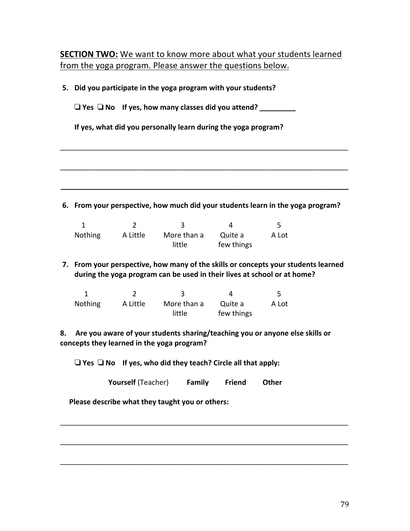**SECTION TWO:** We want to know more about what your students learned from the yoga program. Please answer the questions below.

**5.** Did you participate in the yoga program with your students?

❏ **Yes** ❏ **No If yes, how many classes did you attend? \_\_\_\_\_\_\_\_\_**

**If yes, what did you personally learn during the yoga program?** 

**6.** From your perspective, how much did your students learn in the yoga program?

\_\_\_\_\_\_\_\_\_\_\_\_\_\_\_\_\_\_\_\_\_\_\_\_\_\_\_\_\_\_\_\_\_\_\_\_\_\_\_\_\_\_\_\_\_\_\_\_\_\_\_\_\_\_\_\_\_\_\_\_\_\_\_\_\_\_\_\_\_\_\_\_

\_\_\_\_\_\_\_\_\_\_\_\_\_\_\_\_\_\_\_\_\_\_\_\_\_\_\_\_\_\_\_\_\_\_\_\_\_\_\_\_\_\_\_\_\_\_\_\_\_\_\_\_\_\_\_\_\_\_\_\_\_\_\_\_\_\_\_\_\_\_\_\_

**\_\_\_\_\_\_\_\_\_\_\_\_\_\_\_\_\_\_\_\_\_\_\_\_\_\_\_\_\_\_\_\_\_\_\_\_\_\_\_\_\_\_\_\_\_\_\_\_\_\_\_\_\_\_\_\_\_\_\_\_\_\_\_\_\_\_\_\_\_\_\_\_**

| <b>Nothing</b> | A Little | More than a | Quite a    | A Lot |
|----------------|----------|-------------|------------|-------|
|                |          | little      | few things |       |

**7.** From your perspective, how many of the skills or concepts your students learned during the yoga program can be used in their lives at school or at home?

| Nothing | A Little | More than a Quite a |            | A Lot |
|---------|----------|---------------------|------------|-------|
|         |          | little              | few things |       |

**8.** Are you aware of your students sharing/teaching you or anyone else skills or concepts they learned in the yoga program?

 ❏ **Yes** ❏ **No If yes, who did they teach? Circle all that apply:** 

| <b>Yourself (Teacher)</b> | <b>Family</b> | <b>Friend</b> | Other |
|---------------------------|---------------|---------------|-------|
|---------------------------|---------------|---------------|-------|

\_\_\_\_\_\_\_\_\_\_\_\_\_\_\_\_\_\_\_\_\_\_\_\_\_\_\_\_\_\_\_\_\_\_\_\_\_\_\_\_\_\_\_\_\_\_\_\_\_\_\_\_\_\_\_\_\_\_\_\_\_\_\_\_\_\_\_\_\_\_\_\_

\_\_\_\_\_\_\_\_\_\_\_\_\_\_\_\_\_\_\_\_\_\_\_\_\_\_\_\_\_\_\_\_\_\_\_\_\_\_\_\_\_\_\_\_\_\_\_\_\_\_\_\_\_\_\_\_\_\_\_\_\_\_\_\_\_\_\_\_\_\_\_\_

\_\_\_\_\_\_\_\_\_\_\_\_\_\_\_\_\_\_\_\_\_\_\_\_\_\_\_\_\_\_\_\_\_\_\_\_\_\_\_\_\_\_\_\_\_\_\_\_\_\_\_\_\_\_\_\_\_\_\_\_\_\_\_\_\_\_\_\_\_\_\_\_

Please describe what they taught you or others: